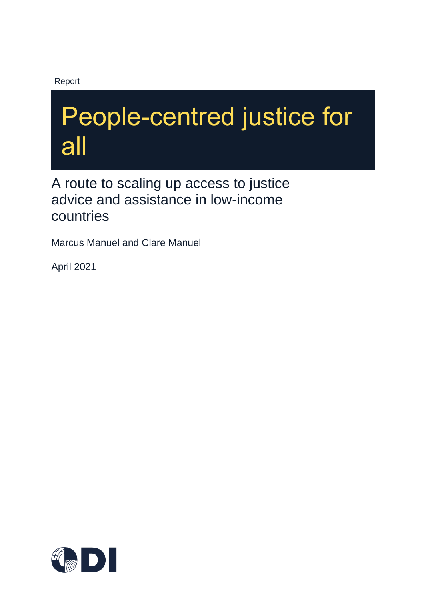Report

# People-centred justice for all

A route to scaling up access to justice advice and assistance in low-income countries

Marcus Manuel and Clare Manuel

April 2021

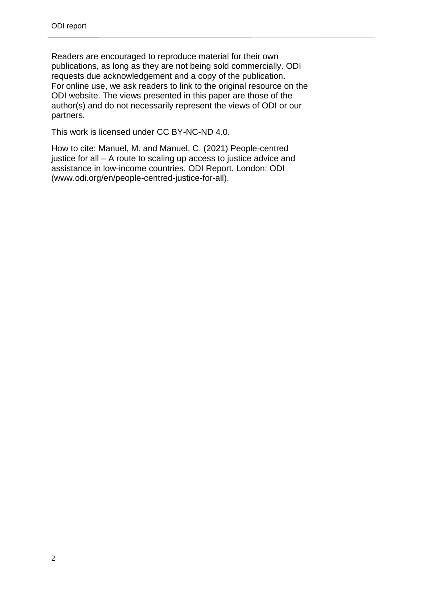Readers are encouraged to reproduce material for their own publications, as long as they are not being sold commercially. ODI requests due acknowledgement and a copy of the publication. For online use, we ask readers to link to the original resource on the ODI website. The views presented in this paper are those of the author(s) and do not necessarily represent the views of ODI or our partners.

This work is licensed under CC BY-NC-ND 4.0.

How to cite: Manuel, M. and Manuel, C. (2021) People-centred justice for all – A route to scaling up access to justice advice and assistance in low-income countries. ODI Report. London: ODI (www.odi.org/en/people-centred-justice-for-all).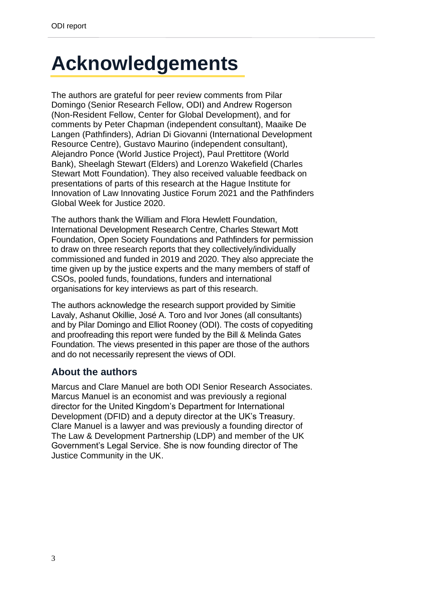### **Acknowledgements**

The authors are grateful for peer review comments from Pilar Domingo (Senior Research Fellow, ODI) and Andrew Rogerson (Non-Resident Fellow, Center for Global Development), and for comments by Peter Chapman (independent consultant), Maaike De Langen (Pathfinders), Adrian Di Giovanni (International Development Resource Centre), Gustavo Maurino (independent consultant), Alejandro Ponce (World Justice Project), Paul Prettitore (World Bank), Sheelagh Stewart (Elders) and Lorenzo Wakefield (Charles Stewart Mott Foundation). They also received valuable feedback on presentations of parts of this research at the Hague Institute for Innovation of Law Innovating Justice Forum 2021 and the Pathfinders Global Week for Justice 2020.

The authors thank the William and Flora Hewlett Foundation, International Development Research Centre, Charles Stewart Mott Foundation, Open Society Foundations and Pathfinders for permission to draw on three research reports that they collectively/individually commissioned and funded in 2019 and 2020. They also appreciate the time given up by the justice experts and the many members of staff of CSOs, pooled funds, foundations, funders and international organisations for key interviews as part of this research.

The authors acknowledge the research support provided by Simitie Lavaly, Ashanut Okillie, José A. Toro and Ivor Jones (all consultants) and by Pilar Domingo and Elliot Rooney (ODI). The costs of copyediting and proofreading this report were funded by the Bill & Melinda Gates Foundation. The views presented in this paper are those of the authors and do not necessarily represent the views of ODI.

### **About the authors**

Marcus and Clare Manuel are both ODI Senior Research Associates. Marcus Manuel is an economist and was previously a regional director for the United Kingdom's Department for International Development (DFID) and a deputy director at the UK's Treasury. Clare Manuel is a lawyer and was previously a founding director of The Law & Development Partnership (LDP) and member of the UK Government's Legal Service. She is now founding director of The Justice Community in the UK.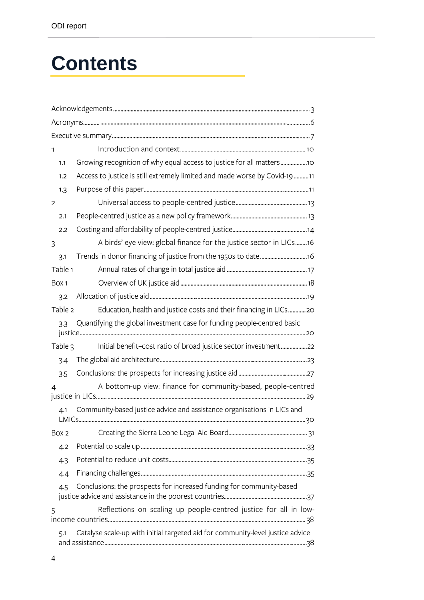## **Contents**

| 1       |                                                                                |
|---------|--------------------------------------------------------------------------------|
| 1.1     | Growing recognition of why equal access to justice for all matters             |
| 1,2     | Access to justice is still extremely limited and made worse by Covid-1911      |
| 1.3     |                                                                                |
| 2       |                                                                                |
| 2.1     |                                                                                |
| 2.2     |                                                                                |
| 3       | A birds' eye view: global finance for the justice sector in LICs16             |
| 3.1     | Trends in donor financing of justice from the 1950s to date  16                |
| Table 1 |                                                                                |
| Box 1   |                                                                                |
| 3.2     |                                                                                |
| Table 2 | Education, health and justice costs and their financing in LICs20              |
| 3.3     | Quantifying the global investment case for funding people-centred basic        |
| Table 3 | Initial benefit-cost ratio of broad justice sector investment22                |
| 3.4     |                                                                                |
| 3.5     |                                                                                |
| 4       | A bottom-up view: finance for community-based, people-centred                  |
| 4.1     | Community-based justice advice and assistance organisations in LICs and        |
| Box 2   |                                                                                |
| 4.2     |                                                                                |
| 4.3     |                                                                                |
| 4.4     |                                                                                |
| 4.5     | Conclusions: the prospects for increased funding for community-based           |
| 5       | Reflections on scaling up people-centred justice for all in low-               |
| 5.1     | Catalyse scale-up with initial targeted aid for community-level justice advice |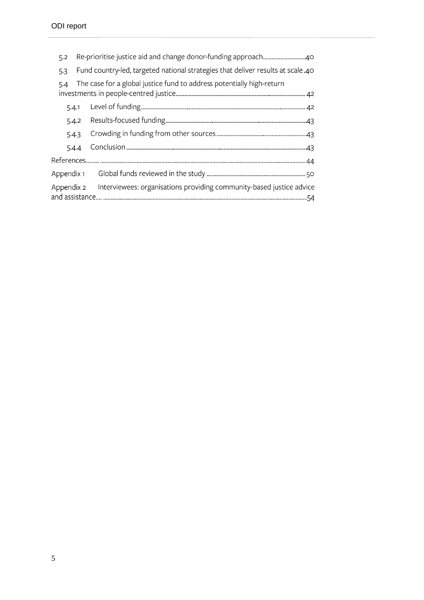| 5.2        |       |                                                                                 |  |  |  |  |
|------------|-------|---------------------------------------------------------------------------------|--|--|--|--|
| 5.3        |       | Fund country-led, targeted national strategies that deliver results at scale.40 |  |  |  |  |
| 5.4        |       | The case for a global justice fund to address potentially high-return           |  |  |  |  |
| 5.4.1      |       |                                                                                 |  |  |  |  |
|            | 5.4.2 |                                                                                 |  |  |  |  |
|            | 5.4.3 |                                                                                 |  |  |  |  |
|            | 5.4.4 |                                                                                 |  |  |  |  |
|            |       |                                                                                 |  |  |  |  |
| Appendix 1 |       |                                                                                 |  |  |  |  |
| Appendix 2 |       | Interviewees: organisations providing community-based justice advice            |  |  |  |  |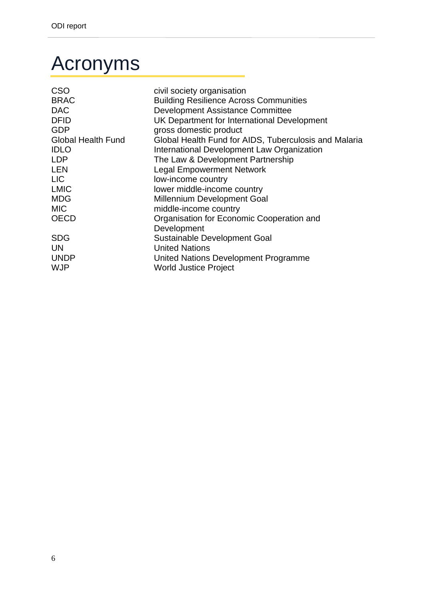## Acronyms

| <b>CSO</b><br><b>BRAC</b><br><b>DAC</b><br><b>DFID</b> | civil society organisation<br><b>Building Resilience Across Communities</b><br>Development Assistance Committee<br>UK Department for International Development |
|--------------------------------------------------------|----------------------------------------------------------------------------------------------------------------------------------------------------------------|
| <b>GDP</b>                                             | gross domestic product                                                                                                                                         |
| <b>Global Health Fund</b>                              | Global Health Fund for AIDS, Tuberculosis and Malaria                                                                                                          |
| <b>IDLO</b>                                            | International Development Law Organization                                                                                                                     |
| <b>LDP</b>                                             | The Law & Development Partnership                                                                                                                              |
| <b>LEN</b>                                             | <b>Legal Empowerment Network</b>                                                                                                                               |
| <b>LIC</b>                                             | low-income country                                                                                                                                             |
| <b>LMIC</b>                                            | lower middle-income country                                                                                                                                    |
| <b>MDG</b>                                             | Millennium Development Goal                                                                                                                                    |
| <b>MIC</b>                                             | middle-income country                                                                                                                                          |
| <b>OECD</b>                                            | Organisation for Economic Cooperation and                                                                                                                      |
|                                                        | Development                                                                                                                                                    |
| <b>SDG</b>                                             | Sustainable Development Goal                                                                                                                                   |
| <b>UN</b>                                              | <b>United Nations</b>                                                                                                                                          |
| <b>UNDP</b>                                            | United Nations Development Programme                                                                                                                           |
| <b>WJP</b>                                             | <b>World Justice Project</b>                                                                                                                                   |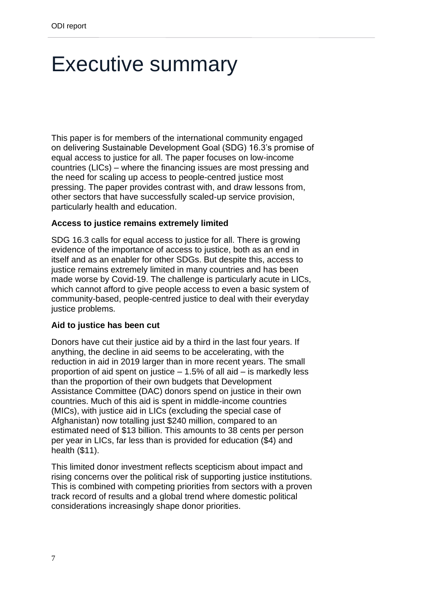## Executive summary

This paper is for members of the international community engaged on delivering Sustainable Development Goal (SDG) 16.3's promise of equal access to justice for all. The paper focuses on low-income countries (LICs) – where the financing issues are most pressing and the need for scaling up access to people-centred justice most pressing. The paper provides contrast with, and draw lessons from, other sectors that have successfully scaled-up service provision, particularly health and education.

#### **Access to justice remains extremely limited**

SDG 16.3 calls for equal access to justice for all. There is growing evidence of the importance of access to justice, both as an end in itself and as an enabler for other SDGs. But despite this, access to justice remains extremely limited in many countries and has been made worse by Covid-19. The challenge is particularly acute in LICs, which cannot afford to give people access to even a basic system of community-based, people-centred justice to deal with their everyday justice problems.

#### **Aid to justice has been cut**

Donors have cut their justice aid by a third in the last four years. If anything, the decline in aid seems to be accelerating, with the reduction in aid in 2019 larger than in more recent years. The small proportion of aid spent on justice – 1.5% of all aid – is markedly less than the proportion of their own budgets that Development Assistance Committee (DAC) donors spend on justice in their own countries. Much of this aid is spent in middle-income countries (MICs), with justice aid in LICs (excluding the special case of Afghanistan) now totalling just \$240 million, compared to an estimated need of \$13 billion. This amounts to 38 cents per person per year in LICs, far less than is provided for education (\$4) and health (\$11).

This limited donor investment reflects scepticism about impact and rising concerns over the political risk of supporting justice institutions. This is combined with competing priorities from sectors with a proven track record of results and a global trend where domestic political considerations increasingly shape donor priorities.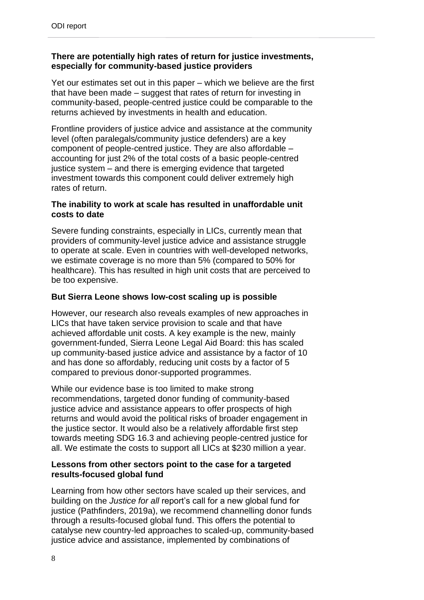#### **There are potentially high rates of return for justice investments, especially for community-based justice providers**

Yet our estimates set out in this paper – which we believe are the first that have been made – suggest that rates of return for investing in community-based, people-centred justice could be comparable to the returns achieved by investments in health and education.

Frontline providers of justice advice and assistance at the community level (often paralegals/community justice defenders) are a key component of people-centred justice. They are also affordable – accounting for just 2% of the total costs of a basic people-centred justice system – and there is emerging evidence that targeted investment towards this component could deliver extremely high rates of return.

#### **The inability to work at scale has resulted in unaffordable unit costs to date**

Severe funding constraints, especially in LICs, currently mean that providers of community-level justice advice and assistance struggle to operate at scale. Even in countries with well-developed networks, we estimate coverage is no more than 5% (compared to 50% for healthcare). This has resulted in high unit costs that are perceived to be too expensive.

#### **But Sierra Leone shows low-cost scaling up is possible**

However, our research also reveals examples of new approaches in LICs that have taken service provision to scale and that have achieved affordable unit costs. A key example is the new, mainly government-funded, Sierra Leone Legal Aid Board: this has scaled up community-based justice advice and assistance by a factor of 10 and has done so affordably, reducing unit costs by a factor of 5 compared to previous donor-supported programmes.

While our evidence base is too limited to make strong recommendations, targeted donor funding of community-based justice advice and assistance appears to offer prospects of high returns and would avoid the political risks of broader engagement in the justice sector. It would also be a relatively affordable first step towards meeting SDG 16.3 and achieving people-centred justice for all. We estimate the costs to support all LICs at \$230 million a year.

#### **Lessons from other sectors point to the case for a targeted results-focused global fund**

Learning from how other sectors have scaled up their services, and building on the *Justice for all* report's call for a new global fund for justice (Pathfinders, 2019a), we recommend channelling donor funds through a results-focused global fund. This offers the potential to catalyse new country-led approaches to scaled-up, community-based justice advice and assistance, implemented by combinations of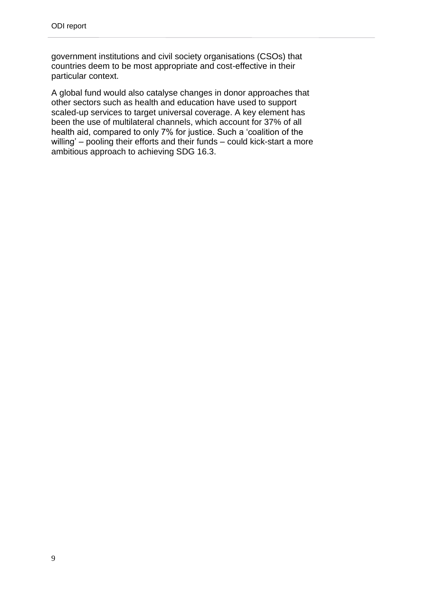government institutions and civil society organisations (CSOs) that countries deem to be most appropriate and cost-effective in their particular context.

A global fund would also catalyse changes in donor approaches that other sectors such as health and education have used to support scaled-up services to target universal coverage. A key element has been the use of multilateral channels, which account for 37% of all health aid, compared to only 7% for justice. Such a 'coalition of the willing' – pooling their efforts and their funds – could kick-start a more ambitious approach to achieving SDG 16.3.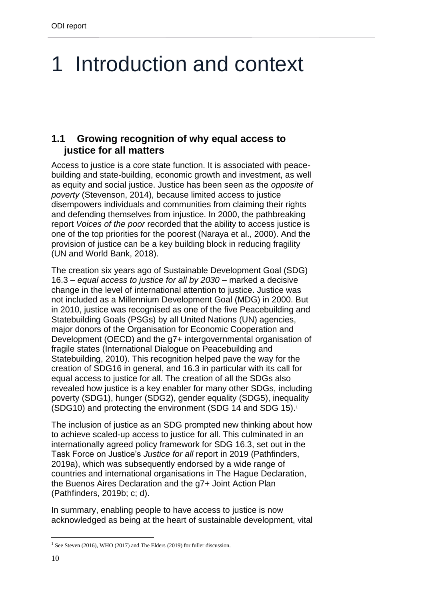## 1 Introduction and context

### **1.1 Growing recognition of why equal access to justice for all matters**

Access to justice is a core state function. It is associated with peacebuilding and state-building, economic growth and investment, as well as equity and social justice. Justice has been seen as the *opposite of poverty* (Stevenson, 2014), because limited access to justice disempowers individuals and communities from claiming their rights and defending themselves from injustice. In 2000, the pathbreaking report *Voices of the poor* recorded that the ability to access justice is one of the top priorities for the poorest (Naraya et al., 2000). And the provision of justice can be a key building block in reducing fragility (UN and World Bank, 2018).

The creation six years ago of Sustainable Development Goal (SDG) 16.3 – *equal access to justice for all by 2030 –* marked a decisive change in the level of international attention to justice. Justice was not included as a Millennium Development Goal (MDG) in 2000. But in 2010, justice was recognised as one of the five Peacebuilding and Statebuilding Goals (PSGs) by all United Nations (UN) agencies, major donors of the Organisation for Economic Cooperation and Development (OECD) and the g7+ intergovernmental organisation of fragile states (International Dialogue on Peacebuilding and Statebuilding, 2010). This recognition helped pave the way for the creation of SDG16 in general, and 16.3 in particular with its call for equal access to justice for all. The creation of all the SDGs also revealed how justice is a key enabler for many other SDGs, including poverty (SDG1), hunger (SDG2), gender equality (SDG5), inequality (SDG10) and protecting the environment (SDG 14 and SDG 15).<sup>1</sup>

The inclusion of justice as an SDG prompted new thinking about how to achieve scaled-up access to justice for all. This culminated in an internationally agreed policy framework for SDG 16.3, set out in the Task Force on Justice's *Justice for all* report in 2019 (Pathfinders, 2019a), which was subsequently endorsed by a wide range of countries and international organisations in The Hague Declaration, the Buenos Aires Declaration and the g7+ Joint Action Plan (Pathfinders, 2019b; c; d).

In summary, enabling people to have access to justice is now acknowledged as being at the heart of sustainable development, vital

<sup>&</sup>lt;sup>1</sup> See Steven (2016), WHO (2017) and The Elders (2019) for fuller discussion.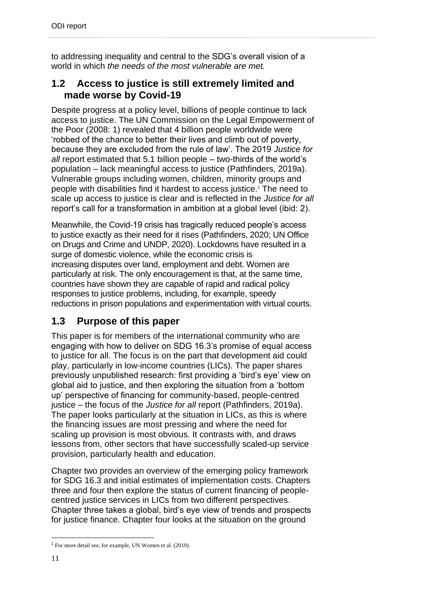to addressing inequality and central to the SDG's overall vision of a world in which *the needs of the most vulnerable are met.*

#### **1.2 Access to justice is still extremely limited and made worse by Covid-19**

Despite progress at a policy level, billions of people continue to lack access to justice. The UN Commission on the Legal Empowerment of the Poor (2008: 1) revealed that 4 billion people worldwide were 'robbed of the chance to better their lives and climb out of poverty, because they are excluded from the rule of law'. The 2019 *Justice for all* report estimated that 5.1 billion people – two-thirds of the world's population – lack meaningful access to justice (Pathfinders, 2019a). Vulnerable groups including women, children, minority groups and people with disabilities find it hardest to access justice.<sup>2</sup> The need to scale up access to justice is clear and is reflected in the *Justice for all* report's call for a transformation in ambition at a global level (ibid: 2).

Meanwhile, the Covid-19 crisis has tragically reduced people's access to justice exactly as their [need for it rises](https://www.justice.sdg16.plus/justice-in-a-pandemic) (Pathfinders, 2020; UN Office on Drugs and Crime and UNDP, 2020). Lockdowns have resulted in a surge of domestic violence, while the economic crisis is increasing [disputes over land,](https://www.theweek.in/news/india/2020/05/20/amid-covid-19-lockdown-land-disputes-arise-in-bihar.html) [employment and debt.](https://covid19-report.hiil.org/) [Women](https://www.project-syndicate.org/commentary/covid19-must-not-widen-gender-justice-gap-by-sandie-okoro-and-paul-prettitore-2020-06) are particularly [at risk.](https://www.idlo.int/publications/justice-women-amidst-covid-19) The only encouragement is that, at the same time, countries have shown they are capable of rapid and radical policy responses to justice problems, including, for example, speedy reductions in prison populations and experimentation with virtual courts.

### **1.3 Purpose of this paper**

This paper is for members of the international community who are engaging with how to deliver on SDG 16.3's promise of equal access to justice for all. The focus is on the part that development aid could play, particularly in low-income countries (LICs). The paper shares previously unpublished research: first providing a 'bird's eye' view on global aid to justice, and then exploring the situation from a 'bottom up' perspective of financing for community-based, people-centred justice – the focus of the *Justice for all* report (Pathfinders, 2019a). The paper looks particularly at the situation in LICs, as this is where the financing issues are most pressing and where the need for scaling up provision is most obvious. It contrasts with, and draws lessons from, other sectors that have successfully scaled-up service provision, particularly health and education.

Chapter two provides an overview of the emerging policy framework for SDG 16.3 and initial estimates of implementation costs. Chapters three and four then explore the status of current financing of peoplecentred justice services in LICs from two different perspectives. Chapter three takes a global, bird's eye view of trends and prospects for justice finance. Chapter four looks at the situation on the ground

<sup>2</sup> For more detail see, for example, UN Women et al. (2019).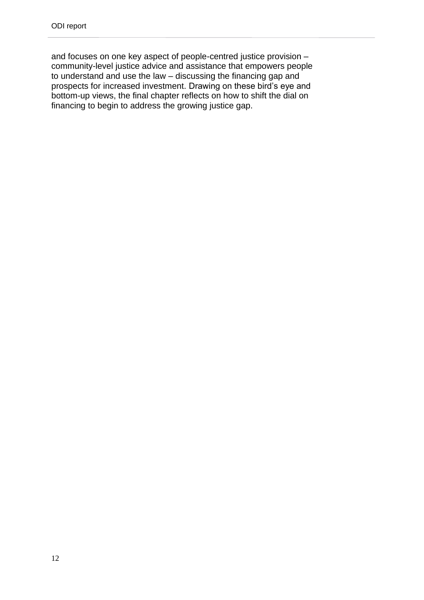and focuses on one key aspect of people-centred justice provision – community-level justice advice and assistance that empowers people to understand and use the law – discussing the financing gap and prospects for increased investment. Drawing on these bird's eye and bottom-up views, the final chapter reflects on how to shift the dial on financing to begin to address the growing justice gap.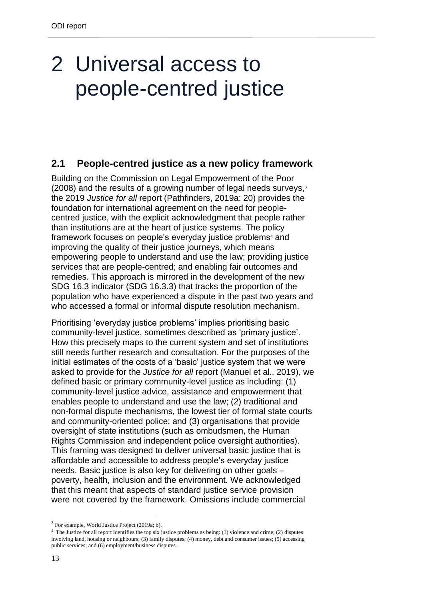## 2 Universal access to people-centred justice

#### **2.1 People-centred justice as a new policy framework**

Building on the Commission on Legal Empowerment of the Poor  $(2008)$  and the results of a growing number of legal needs surveys,  $3$ the 2019 *Justice for all* report (Pathfinders, 2019a: 20) provides the foundation for international agreement on the need for peoplecentred justice, with the explicit acknowledgment that people rather than institutions are at the heart of justice systems. The policy framework focuses on people's everyday justice problems<sup>4</sup> and improving the quality of their justice journeys, which means empowering people to understand and use the law; providing justice services that are people-centred; and enabling fair outcomes and remedies. This approach is mirrored in the development of the new SDG 16.3 indicator (SDG 16.3.3) that tracks the proportion of the population who have experienced a dispute in the past two years and who accessed a formal or informal dispute resolution mechanism.

Prioritising 'everyday justice problems' implies prioritising basic community-level justice, sometimes described as 'primary justice'. How this precisely maps to the current system and set of institutions still needs further research and consultation. For the purposes of the initial estimates of the costs of a 'basic' justice system that we were asked to provide for the *Justice for all* report (Manuel et al., 2019), we defined basic or primary community-level justice as including: (1) community-level justice advice, assistance and empowerment that enables people to understand and use the law; (2) traditional and non-formal dispute mechanisms, the lowest tier of formal state courts and community-oriented police; and (3) organisations that provide oversight of state institutions (such as ombudsmen, the Human Rights Commission and independent police oversight authorities). This framing was designed to deliver universal basic justice that is affordable and accessible to address people's everyday justice needs. Basic justice is also key for delivering on other goals – poverty, health, inclusion and the environment. We acknowledged that this meant that aspects of standard justice service provision were not covered by the framework. Omissions include commercial

<sup>&</sup>lt;sup>3</sup> For example, World Justice Project (2019a; b).

<sup>&</sup>lt;sup>4</sup> The Justice for all report identifies the top six justice problems as being: (1) violence and crime; (2) disputes involving land, housing or neighbours; (3) family disputes; (4) money, debt and consumer issues; (5) accessing public services; and (6) employment/business disputes.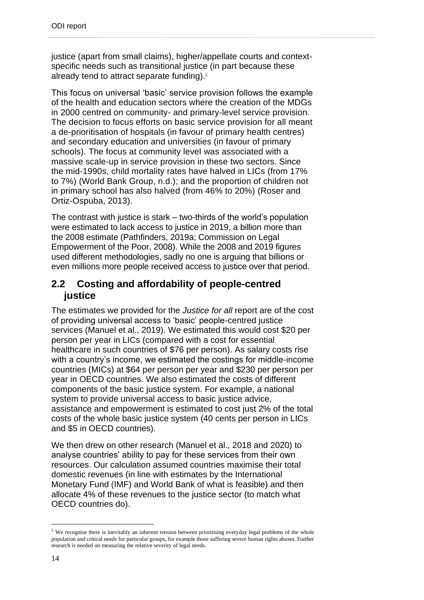justice (apart from small claims), higher/appellate courts and contextspecific needs such as transitional justice (in part because these already tend to attract separate funding).<sup>5</sup>

This focus on universal 'basic' service provision follows the example of the health and education sectors where the creation of the MDGs in 2000 centred on community- and primary-level service provision. The decision to focus efforts on basic service provision for all meant a de-prioritisation of hospitals (in favour of primary health centres) and secondary education and universities (in favour of primary schools). The focus at community level was associated with a massive scale-up in service provision in these two sectors. Since the mid-1990s, child mortality rates have halved in LICs (from 17% to 7%) (World Bank Group, n.d.); and the proportion of children not in primary school has also halved (from 46% to 20%) (Roser and Ortiz-Ospuba, 2013).

The contrast with justice is stark – two-thirds of the world's population were estimated to lack access to justice in 2019, a billion more than the 2008 estimate (Pathfinders, 2019a; Commission on Legal Empowerment of the Poor, 2008). While the 2008 and 2019 figures used different methodologies, sadly no one is arguing that billions or even millions more people received access to justice over that period.

#### **2.2 Costing and affordability of people-centred justice**

The estimates we provided for the *Justice for all* report are of the cost of providing universal access to 'basic' people-centred justice services (Manuel et al., 2019). We estimated this would cost \$20 per person per year in LICs (compared with a cost for essential healthcare in such countries of \$76 per person). As salary costs rise with a country's income, we estimated the costings for middle-income countries (MICs) at \$64 per person per year and \$230 per person per year in OECD countries. We also estimated the costs of different components of the basic justice system. For example, a national system to provide universal access to basic justice advice, assistance and empowerment is estimated to cost just 2% of the total costs of the whole basic justice system (40 cents per person in LICs and \$5 in OECD countries).

We then drew on other research (Manuel et al., 2018 and 2020) to analyse countries' ability to pay for these services from their own resources. Our calculation assumed countries maximise their total domestic revenues (in line with estimates by the International Monetary Fund (IMF) and World Bank of what is feasible) and then allocate 4% of these revenues to the justice sector (to match what OECD countries do).

<sup>5</sup> We recognise there is inevitably an inherent tension between prioritising everyday legal problems of the whole population and critical needs for particular groups, for example those suffering severe human rights abuses. Further research is needed on measuring the relative severity of legal needs.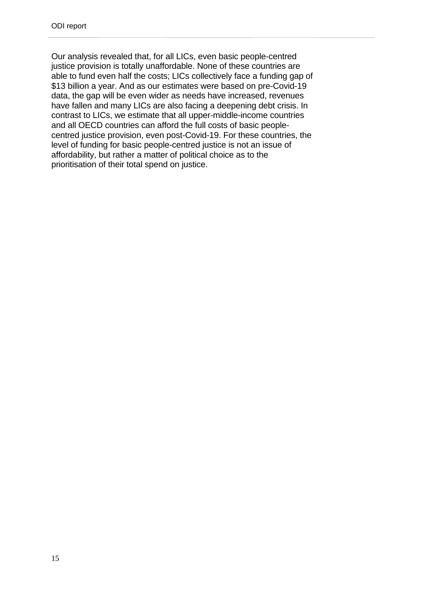Our analysis revealed that, for all LICs, even basic people-centred justice provision is totally unaffordable. None of these countries are able to fund even half the costs; LICs collectively face a funding gap of \$13 billion a year. And as our estimates were based on pre-Covid-19 data, the gap will be even wider as needs have increased, revenues have fallen and many LICs are also facing a deepening debt crisis. In contrast to LICs, we estimate that all upper-middle-income countries and all OECD countries can afford the full costs of basic peoplecentred justice provision, even post-Covid-19. For these countries, the level of funding for basic people-centred justice is not an issue of affordability, but rather a matter of political choice as to the prioritisation of their total spend on justice.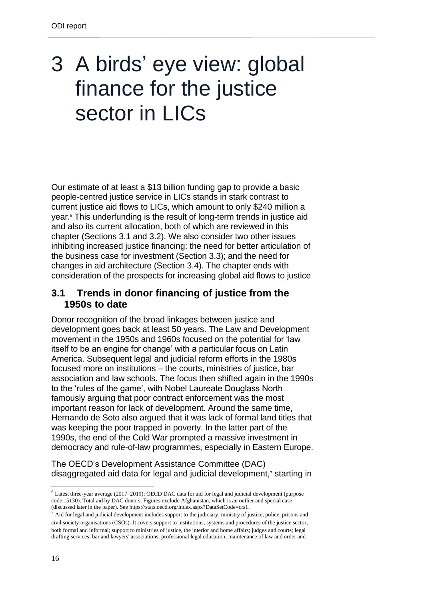## 3 A birds' eye view: global finance for the justice sector in LICs

Our estimate of at least a \$13 billion funding gap to provide a basic people-centred justice service in LICs stands in stark contrast to current justice aid flows to LICs, which amount to only \$240 million a year.<sup>6</sup> This underfunding is the result of long-term trends in justice aid and also its current allocation, both of which are reviewed in this chapter (Sections 3.1 and 3.2). We also consider two other issues inhibiting increased justice financing: the need for better articulation of the business case for investment (Section 3.3); and the need for changes in aid architecture (Section 3.4). The chapter ends with consideration of the prospects for increasing global aid flows to justice

#### **3.1 Trends in donor financing of justice from the 1950s to date**

Donor recognition of the broad linkages between justice and development goes back at least 50 years. The Law and Development movement in the 1950s and 1960s focused on the potential for 'law itself to be an engine for change' with a particular focus on Latin America. Subsequent legal and judicial reform efforts in the 1980s focused more on institutions – the courts, ministries of justice, bar association and law schools. The focus then shifted again in the 1990s to the 'rules of the game', with Nobel Laureate Douglass North famously arguing that poor contract enforcement was the most important reason for lack of development. Around the same time, Hernando de Soto also argued that it was lack of formal land titles that was keeping the poor trapped in poverty. In the latter part of the 1990s, the end of the Cold War prompted a massive investment in democracy and rule-of-law programmes, especially in Eastern Europe.

The OECD's Development Assistance Committee (DAC) disaggregated aid data for legal and judicial development, $\tau$  starting in

<sup>6</sup> Latest three-year average (2017–2019); OECD DAC data for aid for legal and judicial development (purpose code 15130). Total aid by DAC donors. Figures exclude Afghanistan, which is an outlier and special case (discussed later in the paper). Se[e https://stats.oecd.org/Index.aspx?DataSetCode=crs1.](https://stats.oecd.org/Index.aspx?DataSetCode=crs1)

 $^7$  Aid for legal and judicial development includes support to the judiciary, ministry of justice, police, prisons and civil society organisations (CSOs). It covers support to institutions, systems and procedures of the justice sector, both formal and informal; support to ministries of justice, the interior and home affairs; judges and courts; legal drafting services; bar and lawyers' associations; professional legal education; maintenance of law and order and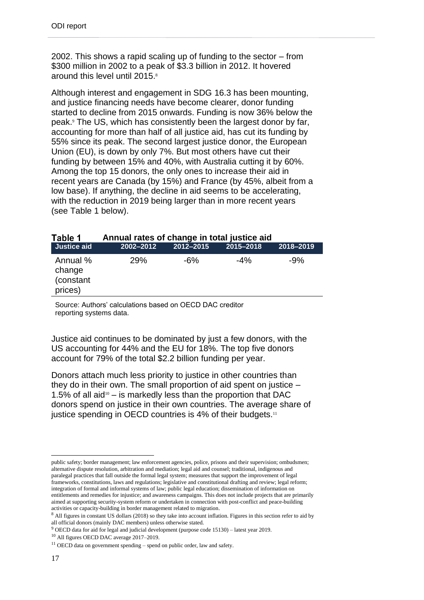2002. This shows a rapid scaling up of funding to the sector – from \$300 million in 2002 to a peak of \$3.3 billion in 2012. It hovered around this level until 2015.<sup>8</sup>

Although interest and engagement in SDG 16.3 has been mounting, and justice financing needs have become clearer, donor funding started to decline from 2015 onwards. Funding is now 36% below the peak.<sup>9</sup> The US, which has consistently been the largest donor by far, accounting for more than half of all justice aid, has cut its funding by 55% since its peak. The second largest justice donor, the European Union (EU), is down by only 7%. But most others have cut their funding by between 15% and 40%, with Australia cutting it by 60%. Among the top 15 donors, the only ones to increase their aid in recent years are Canada (by 15%) and France (by 45%, albeit from a low base). If anything, the decline in aid seems to be accelerating, with the reduction in 2019 being larger than in more recent years (see Table 1 below).

| Table 1                                    | Annual rates of change in total justice aid |           |           |           |
|--------------------------------------------|---------------------------------------------|-----------|-----------|-----------|
| Justice aid                                | 2002-2012                                   | 2012-2015 | 2015-2018 | 2018-2019 |
| Annual %<br>change<br>(constant<br>prices) | 29%                                         | $-6\%$    | $-4\%$    | $-9%$     |

Source: Authors' calculations based on OECD DAC creditor reporting systems data.

Justice aid continues to be dominated by just a few donors, with the US accounting for 44% and the EU for 18%. The top five donors account for 79% of the total \$2.2 billion funding per year.

Donors attach much less priority to justice in other countries than they do in their own. The small proportion of aid spent on justice – 1.5% of all aid<sup>10</sup> – is markedly less than the proportion that DAC donors spend on justice in their own countries. The average share of justice spending in OECD countries is 4% of their budgets.<sup>11</sup>

public safety; border management; law enforcement agencies, police, prisons and their supervision; ombudsmen; alternative dispute resolution, arbitration and mediation; legal aid and counsel; traditional, indigenous and paralegal practices that fall outside the formal legal system; measures that support the improvement of legal frameworks, constitutions, laws and regulations; legislative and constitutional drafting and review; legal reform; integration of formal and informal systems of law; public legal education; dissemination of information on entitlements and remedies for injustice; and awareness campaigns. This does not include projects that are primarily aimed at supporting security-system reform or undertaken in connection with post-conflict and peace-building activities or capacity-building in border management related to migration.

<sup>&</sup>lt;sup>8</sup> All figures in constant US dollars (2018) so they take into account inflation. Figures in this section refer to aid by all official donors (mainly DAC members) unless otherwise stated.

<sup>9</sup> OECD data for aid for legal and judicial development (purpose code 15130) – latest year 2019.

<sup>10</sup> All figures OECD DAC average 2017–2019.

 $11$  OECD data on government spending – spend on public order, law and safety.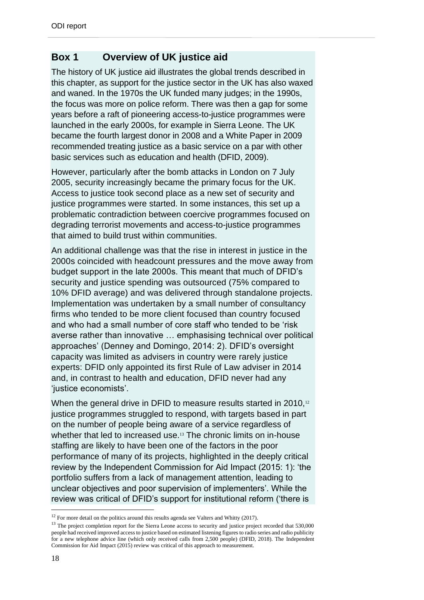### **Box 1 Overview of UK justice aid**

The history of UK justice aid illustrates the global trends described in this chapter, as support for the justice sector in the UK has also waxed and waned. In the 1970s the UK funded many judges; in the 1990s, the focus was more on police reform. There was then a gap for some years before a raft of pioneering access-to-justice programmes were launched in the early 2000s, for example in Sierra Leone. The UK became the fourth largest donor in 2008 and a White Paper in 2009 recommended treating justice as a basic service on a par with other basic services such as education and health (DFID, 2009).

However, particularly after the bomb attacks in London on 7 July 2005, security increasingly became the primary focus for the UK. Access to justice took second place as a new set of security and justice programmes were started. In some instances, this set up a problematic contradiction between coercive programmes focused on degrading terrorist movements and access-to-justice programmes that aimed to build trust within communities.

An additional challenge was that the rise in interest in justice in the 2000s coincided with headcount pressures and the move away from budget support in the late 2000s. This meant that much of DFID's security and justice spending was outsourced (75% compared to 10% DFID average) and was delivered through standalone projects. Implementation was undertaken by a small number of consultancy firms who tended to be more client focused than country focused and who had a small number of core staff who tended to be 'risk averse rather than innovative … emphasising technical over political approaches' (Denney and Domingo, 2014: 2). DFID's oversight capacity was limited as advisers in country were rarely justice experts: DFID only appointed its first Rule of Law adviser in 2014 and, in contrast to health and education, DFID never had any 'justice economists'.

When the general drive in DFID to measure results started in 2010,<sup>12</sup> justice programmes struggled to respond, with targets based in part on the number of people being aware of a service regardless of whether that led to increased use.<sup>13</sup> The chronic limits on in-house staffing are likely to have been one of the factors in the poor performance of many of its projects, highlighted in the deeply critical review by the Independent Commission for Aid Impact (2015: 1): 'the portfolio suffers from a lack of management attention, leading to unclear objectives and poor supervision of implementers'. While the review was critical of DFID's support for institutional reform ('there is

 $12$  For more detail on the politics around this results agenda see Valters and Whitty (2017).

<sup>&</sup>lt;sup>13</sup> The project completion report for the Sierra Leone access to security and justice project recorded that 530,000 people had received improved access to justice based on estimated listening figures to radio series and radio publicity for a new telephone advice line (which only received calls from 2,500 people) (DFID, 2018). The Independent Commission for Aid Impact (2015) review was critical of this approach to measurement.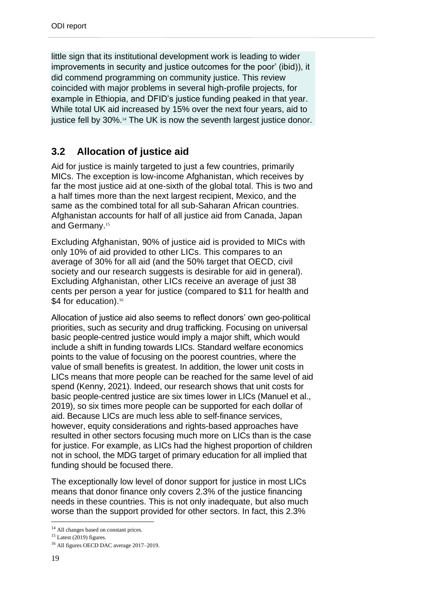little sign that its institutional development work is leading to wider improvements in security and justice outcomes for the poor' (ibid)), it did commend programming on community justice. This review coincided with major problems in several high-profile projects, for example in Ethiopia, and DFID's justice funding peaked in that year. While total UK aid increased by 15% over the next four years, aid to justice fell by 30%.<sup>14</sup> The UK is now the seventh largest justice donor.

### **3.2 Allocation of justice aid**

Aid for justice is mainly targeted to just a few countries, primarily MICs. The exception is low-income Afghanistan, which receives by far the most justice aid at one-sixth of the global total. This is two and a half times more than the next largest recipient, Mexico, and the same as the combined total for all sub-Saharan African countries. Afghanistan accounts for half of all justice aid from Canada, Japan and Germany.<sup>15</sup>

Excluding Afghanistan, 90% of justice aid is provided to MICs with only 10% of aid provided to other LICs. This compares to an average of 30% for all aid (and the 50% target that OECD, civil society and our research suggests is desirable for aid in general). Excluding Afghanistan, other LICs receive an average of just 38 cents per person a year for justice (compared to \$11 for health and \$4 for education).<sup>16</sup>

Allocation of justice aid also seems to reflect donors' own geo-political priorities, such as security and drug trafficking. Focusing on universal basic people-centred justice would imply a major shift, which would include a shift in funding towards LICs. Standard welfare economics points to the value of focusing on the poorest countries, where the value of small benefits is greatest. In addition, the lower unit costs in LICs means that more people can be reached for the same level of aid spend (Kenny, 2021). Indeed, our research shows that unit costs for basic people-centred justice are six times lower in LICs (Manuel et al., 2019), so six times more people can be supported for each dollar of aid. Because LICs are much less able to self-finance services, however, equity considerations and rights-based approaches have resulted in other sectors focusing much more on LICs than is the case for justice. For example, as LICs had the highest proportion of children not in school, the MDG target of primary education for all implied that funding should be focused there.

The exceptionally low level of donor support for justice in most LICs means that donor finance only covers 2.3% of the justice financing needs in these countries. This is not only inadequate, but also much worse than the support provided for other sectors. In fact, this 2.3%

<sup>&</sup>lt;sup>14</sup> All changes based on constant prices.

 $15$  Latest (2019) figures.

<sup>16</sup> All figures OECD DAC average 2017–2019.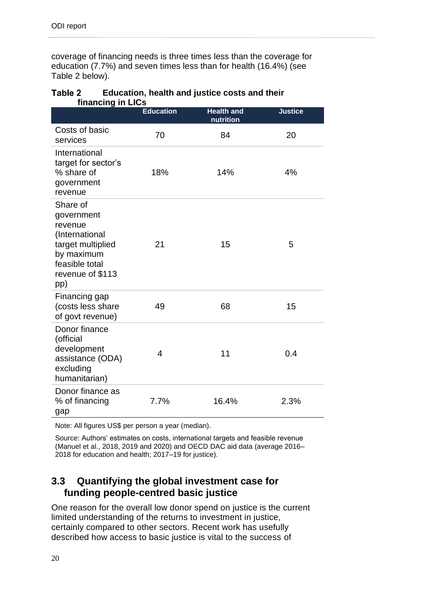coverage of financing needs is three times less than the coverage for education (7.7%) and seven times less than for health (16.4%) (see Table 2 below).

| financing in LICs                                                                                                                   |                  |                                |                |  |  |
|-------------------------------------------------------------------------------------------------------------------------------------|------------------|--------------------------------|----------------|--|--|
|                                                                                                                                     | <b>Education</b> | <b>Health and</b><br>nutrition | <b>Justice</b> |  |  |
| Costs of basic<br>services                                                                                                          | 70               | 84                             | 20             |  |  |
| International<br>target for sector's<br>% share of<br>government<br>revenue                                                         | 18%              | 14%                            | 4%             |  |  |
| Share of<br>government<br>revenue<br>(International<br>target multiplied<br>by maximum<br>feasible total<br>revenue of \$113<br>pp) | 21               | 15                             | 5              |  |  |
| Financing gap<br>(costs less share<br>of govt revenue)                                                                              | 49               | 68                             | 15             |  |  |

| Table 2 | Education, health and justice costs and their |  |
|---------|-----------------------------------------------|--|
|         | financing in LICs                             |  |

Note: All figures US\$ per person a year (median).

Donor finance

development assistance (ODA)

Donor finance as % of financing

(official

excluding humanitarian)

gap

Source: Authors' estimates on costs, international targets and feasible revenue (Manuel et al., 2018, 2019 and 2020) and OECD DAC aid data (average 2016– 2018 for education and health; 2017–19 for justice).

4 11 0.4

7.7% 16.4% 2.3%

### **3.3 Quantifying the global investment case for funding people-centred basic justice**

One reason for the overall low donor spend on justice is the current limited understanding of the returns to investment in justice, certainly compared to other sectors. Recent work has usefully described how access to basic justice is vital to the success of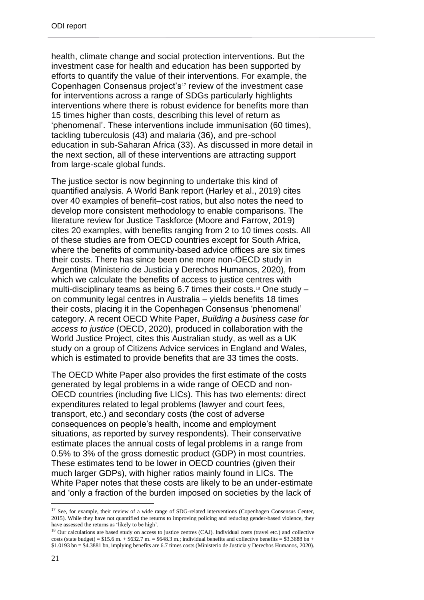health, climate change and social protection interventions. But the investment case for health and education has been supported by efforts to quantify the value of their interventions. For example, the Copenhagen Consensus project's<sup>17</sup> review of the investment case for interventions across a range of SDGs particularly highlights interventions where there is robust evidence for benefits more than 15 times higher than costs, describing this level of return as 'phenomenal'. These interventions include immunisation (60 times), tackling tuberculosis (43) and malaria (36), and pre-school education in sub-Saharan Africa (33). As discussed in more detail in the next section, all of these interventions are attracting support from large-scale global funds.

The justice sector is now beginning to undertake this kind of quantified analysis. A World Bank report (Harley et al., 2019) cites over 40 examples of benefit–cost ratios, but also notes the need to develop more consistent methodology to enable comparisons. The literature review for Justice Taskforce (Moore and Farrow, 2019) cites 20 examples, with benefits ranging from 2 to 10 times costs. All of these studies are from OECD countries except for South Africa, where the benefits of community-based advice offices are six times their costs. There has since been one more non-OECD study in Argentina (Ministerio de Justicia y Derechos Humanos, 2020), from which we calculate the benefits of access to justice centres with multi-disciplinary teams as being 6.7 times their costs.<sup>18</sup> One study  $$ on community legal centres in Australia – yields benefits 18 times their costs, placing it in the Copenhagen Consensus 'phenomenal' category. A recent OECD White Paper, *Building a business case for access to justice* (OECD, 2020), produced in collaboration with the World Justice Project, cites this Australian study, as well as a UK study on a group of Citizens Advice services in England and Wales, which is estimated to provide benefits that are 33 times the costs.

The OECD White Paper also provides the first estimate of the costs generated by legal problems in a wide range of OECD and non-OECD countries (including five LICs). This has two elements: direct expenditures related to legal problems (lawyer and court fees, transport, etc.) and secondary costs (the cost of adverse consequences on people's health, income and employment situations, as reported by survey respondents). Their conservative estimate places the annual costs of legal problems in a range from 0.5% to 3% of the gross domestic product (GDP) in most countries. These estimates tend to be lower in OECD countries (given their much larger GDPs), with higher ratios mainly found in LICs. The White Paper notes that these costs are likely to be an under-estimate and 'only a fraction of the burden imposed on societies by the lack of

<sup>&</sup>lt;sup>17</sup> See, for example, their review of a wide range of SDG-related interventions (Copenhagen Consensus Center, 2015). While they have not quantified the returns to improving policing and reducing gender-based violence, they have assessed the returns as 'likely to be high'.

<sup>&</sup>lt;sup>18</sup> Our calculations are based study on access to justice centres (CAJ). Individual costs (travel etc.) and collective costs (state budget) =  $$15.6$  m. +  $$632.7$  m. =  $$648.3$  m.; individual benefits and collective benefits =  $$3.3688$  bn + \$1.0193 bn = \$4.3881 bn, implying benefits are 6.7 times costs (Ministerio de Justicia y Derechos Humanos, 2020).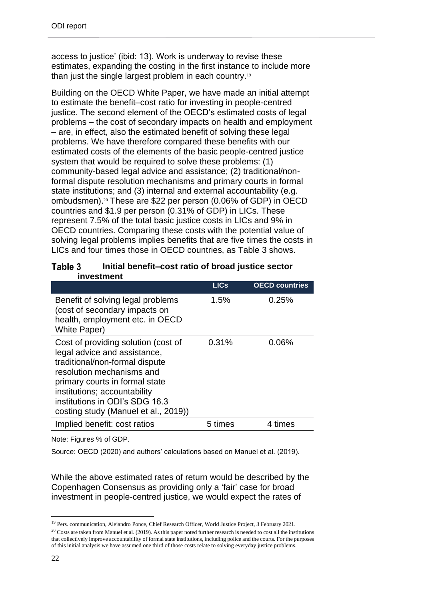access to justice' (ibid: 13). Work is underway to revise these estimates, expanding the costing in the first instance to include more than just the single largest problem in each country.<sup>19</sup>

Building on the OECD White Paper, we have made an initial attempt to estimate the benefit–cost ratio for investing in people-centred justice. The second element of the OECD's estimated costs of legal problems – the cost of secondary impacts on health and employment – are, in effect, also the estimated benefit of solving these legal problems. We have therefore compared these benefits with our estimated costs of the elements of the basic people-centred justice system that would be required to solve these problems: (1) community-based legal advice and assistance; (2) traditional/nonformal dispute resolution mechanisms and primary courts in formal state institutions; and (3) internal and external accountability (e.g. ombudsmen).<sup>20</sup> These are \$22 per person (0.06% of GDP) in OECD countries and \$1.9 per person (0.31% of GDP) in LICs. These represent 7.5% of the total basic justice costs in LICs and 9% in OECD countries. Comparing these costs with the potential value of solving legal problems implies benefits that are five times the costs in LICs and four times those in OECD countries, as Table 3 shows.

| investment                                                                                                                                                                                                                                                                     |             |                       |
|--------------------------------------------------------------------------------------------------------------------------------------------------------------------------------------------------------------------------------------------------------------------------------|-------------|-----------------------|
|                                                                                                                                                                                                                                                                                | <b>LICs</b> | <b>OECD countries</b> |
| Benefit of solving legal problems<br>(cost of secondary impacts on<br>health, employment etc. in OECD<br>White Paper)                                                                                                                                                          | 1.5%        | 0.25%                 |
| Cost of providing solution (cost of<br>legal advice and assistance,<br>traditional/non-formal dispute<br>resolution mechanisms and<br>primary courts in formal state<br>institutions; accountability<br>institutions in ODI's SDG 16.3<br>costing study (Manuel et al., 2019)) | 0.31%       | 0.06%                 |
| Implied benefit: cost ratios                                                                                                                                                                                                                                                   | 5 times     | 4 times               |

#### Table 3 **Initial benefit–cost ratio of broad justice sector investment**

Note: Figures % of GDP.

Source: OECD (2020) and authors' calculations based on Manuel et al. (2019).

While the above estimated rates of return would be described by the Copenhagen Consensus as providing only a 'fair' case for broad investment in people-centred justice, we would expect the rates of

<sup>&</sup>lt;sup>19</sup> Pers. communication, Alejandro Ponce, Chief Research Officer, World Justice Project, 3 February 2021.

 $20$  Costs are taken from Manuel et al. (2019). As this paper noted further research is needed to cost all the institutions that collectively improve accountability of formal state institutions, including police and the courts. For the purposes of this initial analysis we have assumed one third of those costs relate to solving everyday justice problems.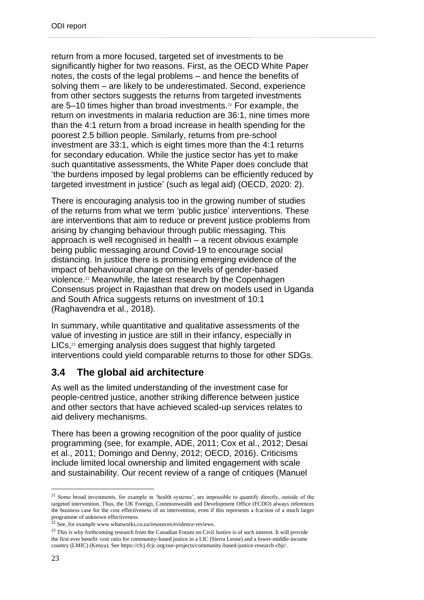return from a more focused, targeted set of investments to be significantly higher for two reasons. First, as the OECD White Paper notes, the costs of the legal problems – and hence the benefits of solving them – are likely to be underestimated. Second, experience from other sectors suggests the returns from targeted investments are 5–10 times higher than broad investments.<sup>21</sup> For example, the return on investments in malaria reduction are 36:1, nine times more than the 4:1 return from a broad increase in health spending for the poorest 2.5 billion people. Similarly, returns from pre-school investment are 33:1, which is eight times more than the 4:1 returns for secondary education. While the justice sector has yet to make such quantitative assessments, the White Paper does conclude that 'the burdens imposed by legal problems can be efficiently reduced by targeted investment in justice' (such as legal aid) (OECD, 2020: 2).

There is encouraging analysis too in the growing number of studies of the returns from what we term 'public justice' interventions. These are interventions that aim to reduce or prevent justice problems from arising by changing behaviour through public messaging. This approach is well recognised in health – a recent obvious example being public messaging around Covid-19 to encourage social distancing. In justice there is promising emerging evidence of the impact of behavioural change on the levels of gender-based violence. <sup>22</sup> Meanwhile, the latest research by the Copenhagen Consensus project in Rajasthan that drew on models used in Uganda and South Africa suggests returns on investment of 10:1 (Raghavendra et al., 2018).

In summary, while quantitative and qualitative assessments of the value of investing in justice are still in their infancy, especially in  $LICs<sub>1</sub><sup>23</sup>$  emerging analysis does suggest that highly targeted interventions could yield comparable returns to those for other SDGs.

### **3.4 The global aid architecture**

As well as the limited understanding of the investment case for people-centred justice, another striking difference between justice and other sectors that have achieved scaled-up services relates to aid delivery mechanisms.

There has been a growing recognition of the poor quality of justice programming (see, for example, ADE, 2011; Cox et al., 2012; Desai et al., 2011; Domingo and Denny, 2012; OECD, 2016). Criticisms include limited local ownership and limited engagement with scale and sustainability. Our recent review of a range of critiques (Manuel

<sup>&</sup>lt;sup>21</sup> Some broad investments, for example in 'health systems', are impossible to quantify directly, outside of the targeted intervention. Thus, the UK Foreign, Commonwealth and Development Office (FCDO) always references the business case for the cost effectiveness of an intervention, even if this represents a fraction of a much larger programme of unknown effectiveness.

 $22$  See, for example www.whatworks.co.za/resources/evidence-reviews.

<sup>&</sup>lt;sup>23</sup> This is why forthcoming research from the Canadian Forum on Civil Justice is of such interest. It will provide the first ever benefit–cost ratio for community-based justice in a LIC (Sierra Leone) and a lower-middle-income country (LMIC) (Kenya). See https://cfcj-fcjc.org/our-projects/community-based-justice-research-cbjr/.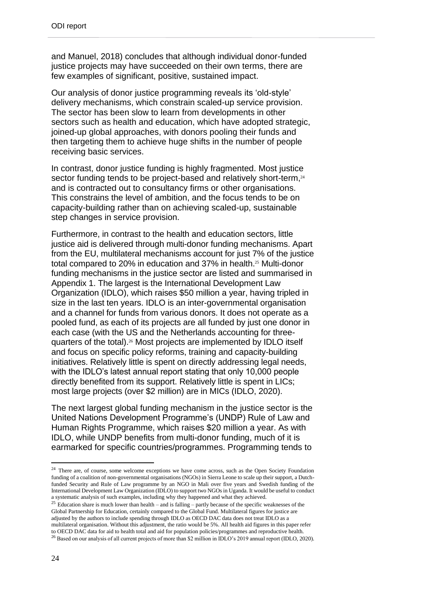and Manuel, 2018) concludes that although individual donor-funded justice projects may have succeeded on their own terms, there are few examples of significant, positive, sustained impact.

Our analysis of donor justice programming reveals its 'old-style' delivery mechanisms, which constrain scaled-up service provision. The sector has been slow to learn from developments in other sectors such as health and education, which have adopted strategic, joined-up global approaches, with donors pooling their funds and then targeting them to achieve huge shifts in the number of people receiving basic services.

In contrast, donor justice funding is highly fragmented. Most justice sector funding tends to be project-based and relatively short-term.<sup>24</sup> and is contracted out to consultancy firms or other organisations. This constrains the level of ambition, and the focus tends to be on capacity-building rather than on achieving scaled-up, sustainable step changes in service provision.

Furthermore, in contrast to the health and education sectors, little justice aid is delivered through multi-donor funding mechanisms. Apart from the EU, multilateral mechanisms account for just 7% of the justice total compared to 20% in education and 37% in health.<sup>25</sup> Multi-donor funding mechanisms in the justice sector are listed and summarised in Appendix 1. The largest is the International Development Law Organization (IDLO), which raises \$50 million a year, having tripled in size in the last ten years. IDLO is an inter-governmental organisation and a channel for funds from various donors. It does not operate as a pooled fund, as each of its projects are all funded by just one donor in each case (with the US and the Netherlands accounting for threequarters of the total).<sup>26</sup> Most projects are implemented by IDLO itself and focus on specific policy reforms, training and capacity-building initiatives. Relatively little is spent on directly addressing legal needs, with the IDLO's latest annual report stating that only 10,000 people directly benefited from its support. Relatively little is spent in LICs; most large projects (over \$2 million) are in MICs (IDLO, 2020).

The next largest global funding mechanism in the justice sector is the United Nations Development Programme's (UNDP) Rule of Law and Human Rights Programme, which raises \$20 million a year. As with IDLO, while UNDP benefits from multi-donor funding, much of it is earmarked for specific countries/programmes. Programming tends to

<sup>&</sup>lt;sup>24</sup> There are, of course, some welcome exceptions we have come across, such as the Open Society Foundation funding of a coalition of non-governmental organisations (NGOs) in Sierra Leone to scale up their support, a Dutchfunded Security and Rule of Law programme by an NGO in Mali over five years and Swedish funding of the International Development Law Organization (IDLO) to support two NGOs in Uganda. It would be useful to conduct a systematic analysis of such examples, including why they happened and what they achieved.

 $25$  Education share is much lower than health – and is falling – partly because of the specific weaknesses of the Global Partnership for Education, certainly compared to the Global Fund. Multilateral figures for justice are adjusted by the authors to include spending through IDLO as OECD DAC data does not treat IDLO as a multilateral organisation. Without this adjustment, the ratio would be 5%. All health aid figures in this paper refer to OECD DAC data for aid to health total and aid for population policies/programmes and reproductive health.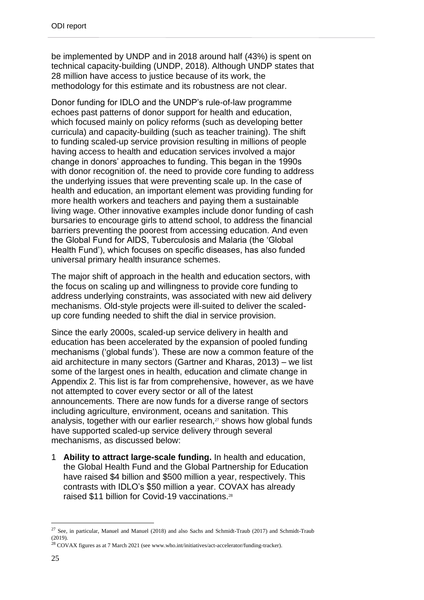be implemented by UNDP and in 2018 around half (43%) is spent on technical capacity-building (UNDP, 2018). Although UNDP states that 28 million have access to justice because of its work, the methodology for this estimate and its robustness are not clear.

Donor funding for IDLO and the UNDP's rule-of-law programme echoes past patterns of donor support for health and education, which focused mainly on policy reforms (such as developing better curricula) and capacity-building (such as teacher training). The shift to funding scaled-up service provision resulting in millions of people having access to health and education services involved a major change in donors' approaches to funding. This began in the 1990s with donor recognition of. the need to provide core funding to address the underlying issues that were preventing scale up. In the case of health and education, an important element was providing funding for more health workers and teachers and paying them a sustainable living wage. Other innovative examples include donor funding of cash bursaries to encourage girls to attend school, to address the financial barriers preventing the poorest from accessing education. And even the Global Fund for AIDS, Tuberculosis and Malaria (the 'Global Health Fund'), which focuses on specific diseases, has also funded universal primary health insurance schemes.

The major shift of approach in the health and education sectors, with the focus on scaling up and willingness to provide core funding to address underlying constraints, was associated with new aid delivery mechanisms. Old-style projects were ill-suited to deliver the scaledup core funding needed to shift the dial in service provision.

Since the early 2000s, scaled-up service delivery in health and education has been accelerated by the expansion of pooled funding mechanisms ('global funds'). These are now a common feature of the aid architecture in many sectors (Gartner and Kharas, 2013) – we list some of the largest ones in health, education and climate change in Appendix 2. This list is far from comprehensive, however, as we have not attempted to cover every sector or all of the latest announcements. There are now funds for a diverse range of sectors including agriculture, environment, oceans and sanitation. This analysis, together with our earlier research, $27$  shows how global funds have supported scaled-up service delivery through several mechanisms, as discussed below:

1 **Ability to attract large-scale funding.** In health and education, the Global Health Fund and the Global Partnership for Education have raised \$4 billion and \$500 million a year, respectively. This contrasts with IDLO's \$50 million a year. COVAX has already raised \$11 billion for Covid-19 vaccinations.<sup>28</sup>

 $27$  See, in particular, Manuel and Manuel (2018) and also Sachs and Schmidt-Traub (2017) and Schmidt-Traub (2019).

<sup>&</sup>lt;sup>28</sup> COVAX figures as at 7 March 2021 (see [www.who.int/initiatives/act-accelerator/funding-tracker\)](http://www.who.int/initiatives/act-accelerator/funding-tracker).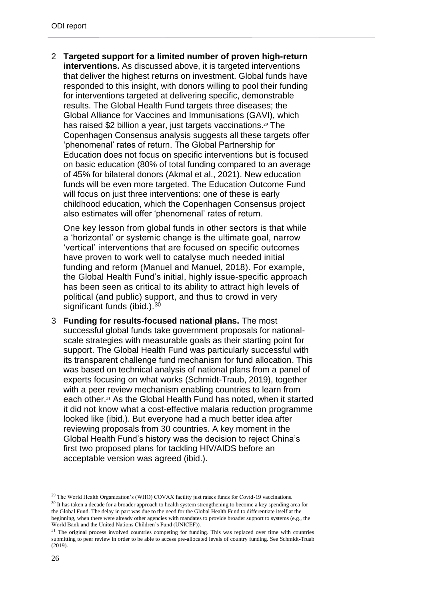2 **Targeted support for a limited number of proven high-return interventions.** As discussed above, it is targeted interventions that deliver the highest returns on investment. Global funds have responded to this insight, with donors willing to pool their funding for interventions targeted at delivering specific, demonstrable results. The Global Health Fund targets three diseases; the Global Alliance for Vaccines and Immunisations (GAVI), which has raised \$2 billion a year, just targets vaccinations.<sup>29</sup> The Copenhagen Consensus analysis suggests all these targets offer 'phenomenal' rates of return. The Global Partnership for Education does not focus on specific interventions but is focused on basic education (80% of total funding compared to an average of 45% for bilateral donors (Akmal et al., 2021). New education funds will be even more targeted. The Education Outcome Fund will focus on just three interventions: one of these is early childhood education, which the Copenhagen Consensus project also estimates will offer 'phenomenal' rates of return.

One key lesson from global funds in other sectors is that while a 'horizontal' or systemic change is the ultimate goal, narrow 'vertical' interventions that are focused on specific outcomes have proven to work well to catalyse much needed initial funding and reform (Manuel and Manuel, 2018). For example, the Global Health Fund's initial, highly issue-specific approach has been seen as critical to its ability to attract high levels of political (and public) support, and thus to crowd in very significant funds (ibid.).<sup>30</sup>

3 **Funding for results-focused national plans.** The most successful global funds take government proposals for nationalscale strategies with measurable goals as their starting point for support. The Global Health Fund was particularly successful with its transparent challenge fund mechanism for fund allocation. This was based on technical analysis of national plans from a panel of experts focusing on what works (Schmidt-Traub, 2019), together with a peer review mechanism enabling countries to learn from each other.<sup>31</sup> As the Global Health Fund has noted, when it started it did not know what a cost-effective malaria reduction programme looked like (ibid.). But everyone had a much better idea after reviewing proposals from 30 countries. A key moment in the Global Health Fund's history was the decision to reject China's first two proposed plans for tackling HIV/AIDS before an acceptable version was agreed (ibid.).

<sup>&</sup>lt;sup>29</sup> The World Health Organization's (WHO) COVAX facility just raises funds for Covid-19 vaccinations.

<sup>&</sup>lt;sup>30</sup> It has taken a decade for a broader approach to health system strengthening to become a key spending area for the Global Fund. The delay in part was due to the need for the Global Health Fund to differentiate itself at the beginning, when there were already other agencies with mandates to provide broader support to systems (e.g., the World Bank and the United Nations Children's Fund (UNICEF)).

<sup>&</sup>lt;sup>31</sup> The original process involved countries competing for funding. This was replaced over time with countries submitting to peer review in order to be able to access pre-allocated levels of country funding. See Schmidt-Truab (2019).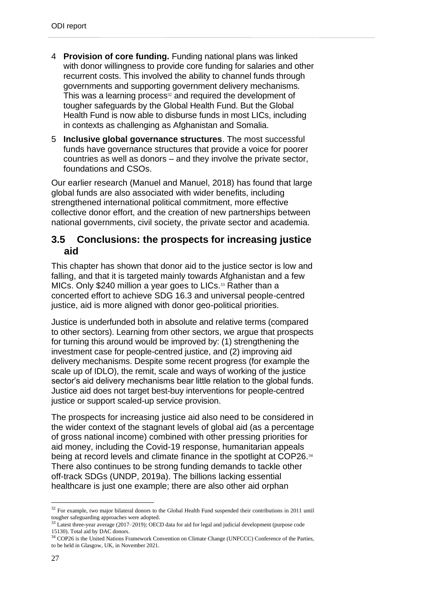- 4 **Provision of core funding.** Funding national plans was linked with donor willingness to provide core funding for salaries and other recurrent costs. This involved the ability to channel funds through governments and supporting government delivery mechanisms. This was a learning process $32$  and required the development of tougher safeguards by the Global Health Fund. But the Global Health Fund is now able to disburse funds in most LICs, including in contexts as challenging as Afghanistan and Somalia.
- 5 **Inclusive global governance structures**. The most successful funds have governance structures that provide a voice for poorer countries as well as donors – and they involve the private sector, foundations and CSOs.

Our earlier research (Manuel and Manuel, 2018) has found that large global funds are also associated with wider benefits, including strengthened international political commitment, more effective collective donor effort, and the creation of new partnerships between national governments, civil society, the private sector and academia.

#### **3.5 Conclusions: the prospects for increasing justice aid**

This chapter has shown that donor aid to the justice sector is low and falling, and that it is targeted mainly towards Afghanistan and a few MICs. Only \$240 million a year goes to LICs.<sup>33</sup> Rather than a concerted effort to achieve SDG 16.3 and universal people-centred justice, aid is more aligned with donor geo-political priorities.

Justice is underfunded both in absolute and relative terms (compared to other sectors). Learning from other sectors, we argue that prospects for turning this around would be improved by: (1) strengthening the investment case for people-centred justice, and (2) improving aid delivery mechanisms. Despite some recent progress (for example the scale up of IDLO), the remit, scale and ways of working of the justice sector's aid delivery mechanisms bear little relation to the global funds. Justice aid does not target best-buy interventions for people-centred justice or support scaled-up service provision.

The prospects for increasing justice aid also need to be considered in the wider context of the stagnant levels of global aid (as a percentage of gross national income) combined with other pressing priorities for aid money, including the Covid-19 response, humanitarian appeals being at record levels and climate finance in the spotlight at COP26.<sup>34</sup> There also continues to be strong funding demands to tackle other off-track SDGs (UNDP, 2019a). The billions lacking essential healthcare is just one example; there are also other aid orphan

<sup>&</sup>lt;sup>32</sup> For example, two major bilateral donors to the Global Health Fund suspended their contributions in 2011 until tougher safeguarding approaches were adopted.

<sup>&</sup>lt;sup>33</sup> Latest three-year average (2017–2019); OECD data for aid for legal and judicial development (purpose code 15130). Total aid by DAC donors.

<sup>&</sup>lt;sup>34</sup> COP26 is the United Nations Framework Convention on Climate Change (UNFCCC) Conference of the Parties, to be held in Glasgow, UK, in November 2021.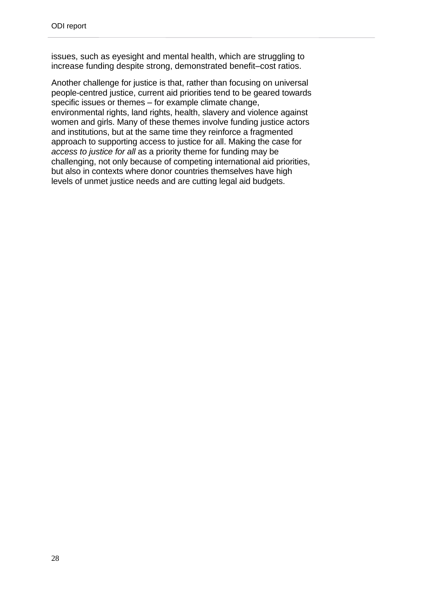issues, such as eyesight and mental health, which are struggling to increase funding despite strong, demonstrated benefit–cost ratios.

Another challenge for justice is that, rather than focusing on universal people-centred justice, current aid priorities tend to be geared towards specific issues or themes – for example climate change, environmental rights, land rights, health, slavery and violence against women and girls. Many of these themes involve funding justice actors and institutions, but at the same time they reinforce a fragmented approach to supporting access to justice for all. Making the case for *access to justice for all* as a priority theme for funding may be challenging, not only because of competing international aid priorities, but also in contexts where donor countries themselves have high levels of unmet justice needs and are cutting legal aid budgets.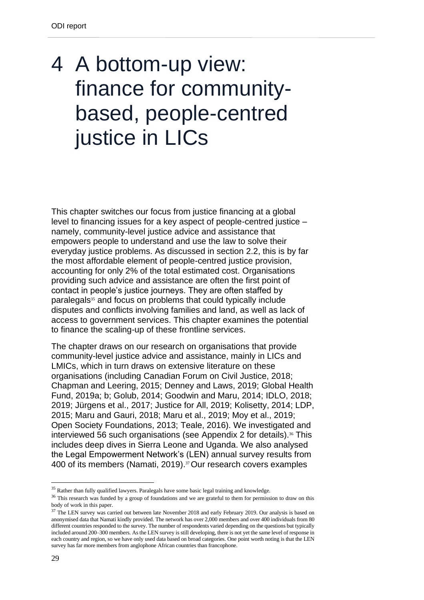### 4 A bottom-up view: finance for communitybased, people-centred justice in LICs

This chapter switches our focus from justice financing at a global level to financing issues for a key aspect of people-centred justice – namely, community-level justice advice and assistance that empowers people to understand and use the law to solve their everyday justice problems. As discussed in section 2.2, this is by far the most affordable element of people-centred justice provision, accounting for only 2% of the total estimated cost. Organisations providing such advice and assistance are often the first point of contact in people's justice journeys. They are often staffed by paralegals<sup>35</sup> and focus on problems that could typically include disputes and conflicts involving families and land, as well as lack of access to government services. This chapter examines the potential to finance the scaling-up of these frontline services.

The chapter draws on our research on organisations that provide community-level justice advice and assistance, mainly in LICs and LMICs, which in turn draws on extensive literature on these organisations (including Canadian Forum on Civil Justice, 2018; Chapman and Leering, 2015; Denney and Laws, 2019; Global Health Fund, 2019a; b; Golub, 2014; Goodwin and Maru, 2014; IDLO, 2018; 2019; Jürgens et al., 2017; Justice for All, 2019; Kolisetty, 2014; LDP, 2015; Maru and Gauri, 2018; Maru et al., 2019; Moy et al., 2019; Open Society Foundations, 2013; Teale, 2016). We investigated and interviewed 56 such organisations (see Appendix 2 for details).<sup>36</sup> This includes deep dives in Sierra Leone and Uganda. We also analysed the Legal Empowerment Network's (LEN) annual survey results from 400 of its members (Namati, 2019). <sup>37</sup>Our research covers examples

<sup>&</sup>lt;sup>35</sup> Rather than fully qualified lawyers. Paralegals have some basic legal training and knowledge.

<sup>&</sup>lt;sup>36</sup> This research was funded by a group of foundations and we are grateful to them for permission to draw on this body of work in this paper.

<sup>&</sup>lt;sup>37</sup> The LEN survey was carried out between late November 2018 and early February 2019. Our analysis is based on anonymised data that Namati kindly provided. The network has over 2,000 members and over 400 individuals from 80 different countries responded to the survey. The number of respondents varied depending on the questions but typically included around 200–300 members. As the LEN survey is still developing, there is not yet the same level of response in each country and region, so we have only used data based on broad categories. One point worth noting is that the LEN survey has far more members from anglophone African countries than francophone.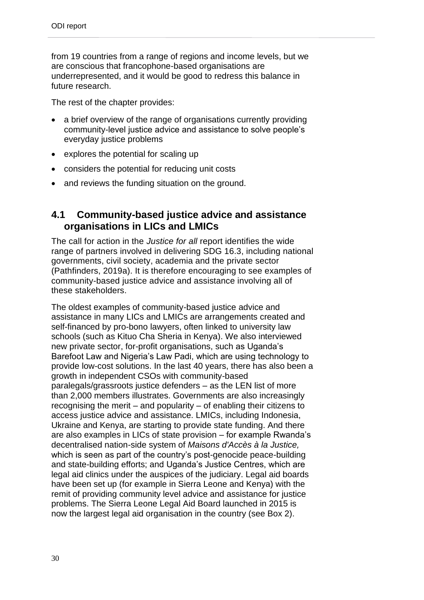from 19 countries from a range of regions and income levels, but we are conscious that francophone-based organisations are underrepresented, and it would be good to redress this balance in future research.

The rest of the chapter provides:

- a brief overview of the range of organisations currently providing community-level justice advice and assistance to solve people's everyday justice problems
- explores the potential for scaling up
- considers the potential for reducing unit costs
- and reviews the funding situation on the ground.

#### **4.1 Community-based justice advice and assistance organisations in LICs and LMICs**

The call for action in the *Justice for all* report identifies the wide range of partners involved in delivering SDG 16.3, including national governments, civil society, academia and the private sector (Pathfinders, 2019a). It is therefore encouraging to see examples of community-based justice advice and assistance involving all of these stakeholders.

The oldest examples of community-based justice advice and assistance in many LICs and LMICs are arrangements created and self-financed by pro-bono lawyers, often linked to university law schools (such as Kituo Cha Sheria in Kenya). We also interviewed new private sector, for-profit organisations, such as Uganda's Barefoot Law and Nigeria's Law Padi, which are using technology to provide low-cost solutions. In the last 40 years, there has also been a growth in independent CSOs with community-based paralegals/grassroots justice defenders – as the LEN list of more than 2,000 members illustrates. Governments are also increasingly recognising the merit – and popularity – of enabling their citizens to access justice advice and assistance. LMICs, including Indonesia, Ukraine and Kenya, are starting to provide state funding. And there are also examples in LICs of state provision – for example Rwanda's decentralised nation-side system of *Maisons d'Accès à la Justice,*  which is seen as part of the country's post-genocide peace-building and state-building efforts; and Uganda's Justice Centres, which are legal aid clinics under the auspices of the judiciary. Legal aid boards have been set up (for example in Sierra Leone and Kenya) with the remit of providing community level advice and assistance for justice problems. The Sierra Leone Legal Aid Board launched in 2015 is now the largest legal aid organisation in the country (see Box 2).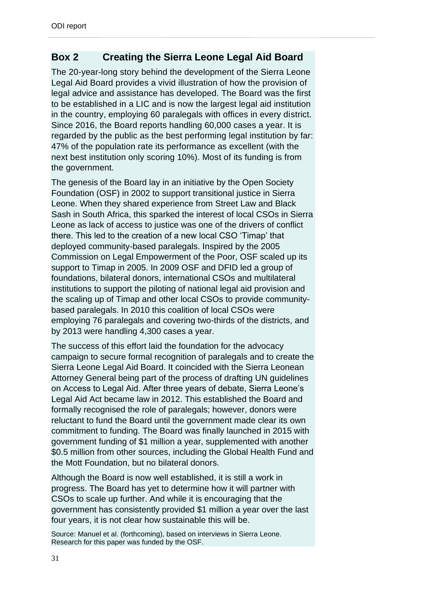### **Box 2 Creating the Sierra Leone Legal Aid Board**

The 20-year-long story behind the development of the Sierra Leone Legal Aid Board provides a vivid illustration of how the provision of legal advice and assistance has developed. The Board was the first to be established in a LIC and is now the largest legal aid institution in the country, employing 60 paralegals with offices in every district. Since 2016, the Board reports handling 60,000 cases a year. It is regarded by the public as the best performing legal institution by far: 47% of the population rate its performance as excellent (with the next best institution only scoring 10%). Most of its funding is from the government.

The genesis of the Board lay in an initiative by the Open Society Foundation (OSF) in 2002 to support transitional justice in Sierra Leone. When they shared experience from Street Law and Black Sash in South Africa, this sparked the interest of local CSOs in Sierra Leone as lack of access to justice was one of the drivers of conflict there. This led to the creation of a new local CSO 'Timap' that deployed community-based paralegals. Inspired by the 2005 Commission on Legal Empowerment of the Poor, OSF scaled up its support to Timap in 2005. In 2009 OSF and DFID led a group of foundations, bilateral donors, international CSOs and multilateral institutions to support the piloting of national legal aid provision and the scaling up of Timap and other local CSOs to provide communitybased paralegals. In 2010 this coalition of local CSOs were employing 76 paralegals and covering two-thirds of the districts, and by 2013 were handling 4,300 cases a year.

The success of this effort laid the foundation for the advocacy campaign to secure formal recognition of paralegals and to create the Sierra Leone Legal Aid Board. It coincided with the Sierra Leonean Attorney General being part of the process of drafting UN guidelines on Access to Legal Aid. After three years of debate, Sierra Leone's Legal Aid Act became law in 2012. This established the Board and formally recognised the role of paralegals; however, donors were reluctant to fund the Board until the government made clear its own commitment to funding. The Board was finally launched in 2015 with government funding of \$1 million a year, supplemented with another \$0.5 million from other sources, including the Global Health Fund and the Mott Foundation, but no bilateral donors.

Although the Board is now well established, it is still a work in progress. The Board has yet to determine how it will partner with CSOs to scale up further. And while it is encouraging that the government has consistently provided \$1 million a year over the last four years, it is not clear how sustainable this will be.

Source: Manuel et al. (forthcoming), based on interviews in Sierra Leone. Research for this paper was funded by the OSF.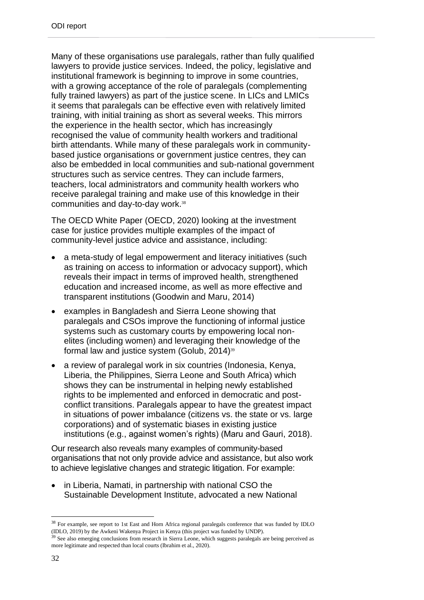Many of these organisations use paralegals, rather than fully qualified lawyers to provide justice services. Indeed, the policy, legislative and institutional framework is beginning to improve in some countries, with a growing acceptance of the role of paralegals (complementing fully trained lawyers) as part of the justice scene. In LICs and LMICs it seems that paralegals can be effective even with relatively limited training, with initial training as short as several weeks. This mirrors the experience in the health sector, which has increasingly recognised the value of community health workers and traditional birth attendants. While many of these paralegals work in communitybased justice organisations or government justice centres, they can also be embedded in local communities and sub-national government structures such as service centres. They can include farmers, teachers, local administrators and community health workers who receive paralegal training and make use of this knowledge in their communities and day-to-day work.<sup>38</sup>

The OECD White Paper (OECD, 2020) looking at the investment case for justice provides multiple examples of the impact of community-level justice advice and assistance, including:

- a meta-study of legal empowerment and literacy initiatives (such as training on access to information or advocacy support), which reveals their impact in terms of improved health, strengthened education and increased income, as well as more effective and transparent institutions (Goodwin and Maru, 2014)
- examples in Bangladesh and Sierra Leone showing that paralegals and CSOs improve the functioning of informal justice systems such as customary courts by empowering local nonelites (including women) and leveraging their knowledge of the formal law and justice system (Golub, 2014)<sup>39</sup>
- a review of paralegal work in six countries (Indonesia, Kenya, Liberia, the Philippines, Sierra Leone and South Africa) which shows they can be instrumental in helping newly established rights to be implemented and enforced in democratic and postconflict transitions. Paralegals appear to have the greatest impact in situations of power imbalance (citizens vs. the state or vs. large corporations) and of systematic biases in existing justice institutions (e.g., against women's rights) (Maru and Gauri, 2018).

Our research also reveals many examples of community-based organisations that not only provide advice and assistance, but also work to achieve legislative changes and strategic litigation. For example:

• in Liberia, Namati, in partnership with national CSO the Sustainable Development Institute, advocated a new National

<sup>&</sup>lt;sup>38</sup> For example, see report to 1st East and Horn Africa regional paralegals conference that was funded by IDLO (IDLO, 2019) by the Awkeni Wakenya Project in Kenya (this project was funded by UNDP).

<sup>&</sup>lt;sup>39</sup> See also emerging conclusions from research in Sierra Leone, which suggests paralegals are being perceived as more legitimate and respected than local courts (Ibrahim et al., 2020).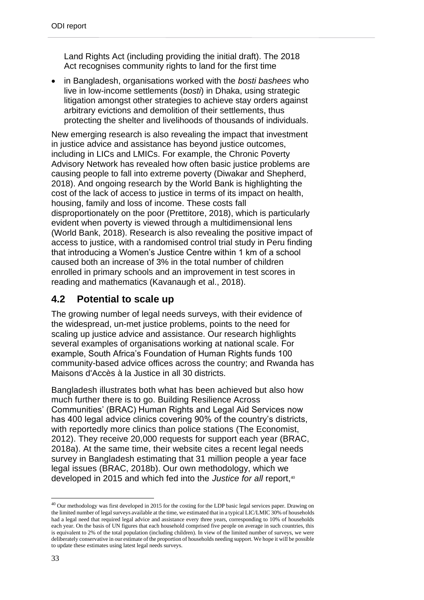Land Rights Act (including providing the initial draft). The 2018 Act recognises community rights to land for the first time

• in Bangladesh, organisations worked with the *bosti bashees* who live in low-income settlements (*bosti*) in Dhaka, using strategic litigation amongst other strategies to achieve stay orders against arbitrary evictions and demolition of their settlements, thus protecting the shelter and livelihoods of thousands of individuals.

New emerging research is also revealing the impact that investment in justice advice and assistance has beyond justice outcomes, including in LICs and LMICs. For example, the Chronic Poverty Advisory Network has revealed how often basic justice problems are causing people to fall into extreme poverty (Diwakar and Shepherd, 2018). And ongoing research by the World Bank is highlighting the cost of the lack of access to justice in terms of its impact on health, housing, family and loss of income. These costs fall disproportionately on the poor (Prettitore, 2018), which is particularly evident when poverty is viewed through a multidimensional lens (World Bank, 2018). Research is also revealing the positive impact of access to justice, with a randomised control trial study in Peru finding that introducing a Women's Justice Centre within 1 km of a school caused both an increase of 3% in the total number of children enrolled in primary schools and an improvement in test scores in reading and mathematics (Kavanaugh et al., 2018).

### **4.2 Potential to scale up**

The growing number of legal needs surveys, with their evidence of the widespread, un-met justice problems, points to the need for scaling up justice advice and assistance. Our research highlights several examples of organisations working at national scale. For example, South Africa's Foundation of Human Rights funds 100 community-based advice offices across the country; and Rwanda has Maisons d'Accès à la Justice in all 30 districts.

Bangladesh illustrates both what has been achieved but also how much further there is to go. Building Resilience Across Communities' (BRAC) Human Rights and Legal Aid Services now has 400 legal advice clinics covering 90% of the country's districts. with reportedly more clinics than police stations (The Economist, 2012). They receive 20,000 requests for support each year (BRAC, 2018a). At the same time, their website cites a recent legal needs survey in Bangladesh estimating that 31 million people a year face legal issues (BRAC, 2018b). Our own methodology, which we developed in 2015 and which fed into the *Justice for all* report,<sup>40</sup>

<sup>&</sup>lt;sup>40</sup> Our methodology was first developed in 2015 for the costing for the LDP basic legal services paper. Drawing on the limited number of legal surveys available at the time, we estimated that in a typical LIC/LMIC 30% of households had a legal need that required legal advice and assistance every three years, corresponding to 10% of households each year. On the basis of UN figures that each household comprised five people on average in such countries, this is equivalent to 2% of the total population (including children). In view of the limited number of surveys, we were deliberately conservative in our estimate of the proportion of households needing support. We hope it will be possible to update these estimates using latest legal needs surveys.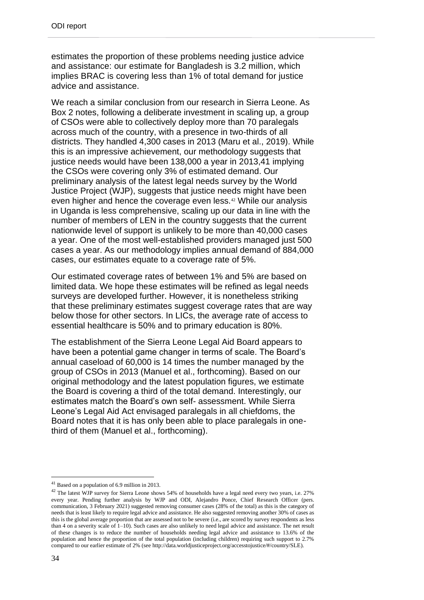estimates the proportion of these problems needing justice advice and assistance: our estimate for Bangladesh is 3.2 million, which implies BRAC is covering less than 1% of total demand for justice advice and assistance.

We reach a similar conclusion from our research in Sierra Leone. As Box 2 notes, following a deliberate investment in scaling up, a group of CSOs were able to collectively deploy more than 70 paralegals across much of the country, with a presence in two-thirds of all districts. They handled 4,300 cases in 2013 (Maru et al., 2019). While this is an impressive achievement, our methodology suggests that justice needs would have been 138,000 a year in 2013,41 implying the CSOs were covering only 3% of estimated demand. Our preliminary analysis of the latest legal needs survey by the World Justice Project (WJP), suggests that justice needs might have been even higher and hence the coverage even less.<sup>42</sup> While our analysis in Uganda is less comprehensive, scaling up our data in line with the number of members of LEN in the country suggests that the current nationwide level of support is unlikely to be more than 40,000 cases a year. One of the most well-established providers managed just 500 cases a year. As our methodology implies annual demand of 884,000 cases, our estimates equate to a coverage rate of 5%.

Our estimated coverage rates of between 1% and 5% are based on limited data. We hope these estimates will be refined as legal needs surveys are developed further. However, it is nonetheless striking that these preliminary estimates suggest coverage rates that are way below those for other sectors. In LICs, the average rate of access to essential healthcare is 50% and to primary education is 80%.

The establishment of the Sierra Leone Legal Aid Board appears to have been a potential game changer in terms of scale. The Board's annual caseload of 60,000 is 14 times the number managed by the group of CSOs in 2013 (Manuel et al., forthcoming). Based on our original methodology and the latest population figures, we estimate the Board is covering a third of the total demand. Interestingly, our estimates match the Board's own self- assessment. While Sierra Leone's Legal Aid Act envisaged paralegals in all chiefdoms, the Board notes that it is has only been able to place paralegals in onethird of them (Manuel et al., forthcoming).

<sup>41</sup> Based on a population of 6.9 million in 2013.

<sup>&</sup>lt;sup>42</sup> The latest WJP survey for Sierra Leone shows 54% of households have a legal need every two years, i.e. 27% every year. Pending further analysis by WJP and ODI, Alejandro Ponce, Chief Research Officer (pers. communication, 3 February 2021) suggested removing consumer cases (28% of the total) as this is the category of needs that is least likely to require legal advice and assistance. He also suggested removing another 30% of cases as this is the global average proportion that are assessed not to be severe (i.e., are scored by survey respondents as less than 4 on a severity scale of 1–10). Such cases are also unlikely to need legal advice and assistance. The net result of these changes is to reduce the number of households needing legal advice and assistance to 13.6% of the population and hence the proportion of the total population (including children) requiring such support to 2.7% compared to our earlier estimate of 2% (se[e http://data.worldjusticeproject.org/accesstojustice/#/country/SLE\)](http://data.worldjusticeproject.org/accesstojustice/#/country/SLE).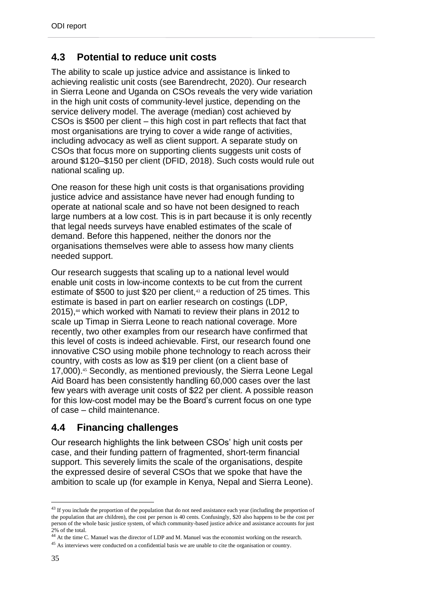#### **4.3 Potential to reduce unit costs**

The ability to scale up justice advice and assistance is linked to achieving realistic unit costs (see Barendrecht, 2020). Our research in Sierra Leone and Uganda on CSOs reveals the very wide variation in the high unit costs of community-level justice, depending on the service delivery model. The average (median) cost achieved by CSOs is \$500 per client – this high cost in part reflects that fact that most organisations are trying to cover a wide range of activities, including advocacy as well as client support. A separate study on CSOs that focus more on supporting clients suggests unit costs of around \$120–\$150 per client (DFID, 2018). Such costs would rule out national scaling up.

One reason for these high unit costs is that organisations providing justice advice and assistance have never had enough funding to operate at national scale and so have not been designed to reach large numbers at a low cost. This is in part because it is only recently that legal needs surveys have enabled estimates of the scale of demand. Before this happened, neither the donors nor the organisations themselves were able to assess how many clients needed support.

Our research suggests that scaling up to a national level would enable unit costs in low-income contexts to be cut from the current estimate of \$500 to just \$20 per client,<sup>43</sup> a reduction of 25 times. This estimate is based in part on earlier research on costings (LDP,  $2015$ ), $44$  which worked with Namati to review their plans in 2012 to scale up Timap in Sierra Leone to reach national coverage. More recently, two other examples from our research have confirmed that this level of costs is indeed achievable. First, our research found one innovative CSO using mobile phone technology to reach across their country, with costs as low as \$19 per client (on a client base of 17,000).<sup>45</sup> Secondly, as mentioned previously, the Sierra Leone Legal Aid Board has been consistently handling 60,000 cases over the last few years with average unit costs of \$22 per client. A possible reason for this low-cost model may be the Board's current focus on one type of case – child maintenance.

### **4.4 Financing challenges**

Our research highlights the link between CSOs' high unit costs per case, and their funding pattern of fragmented, short-term financial support. This severely limits the scale of the organisations, despite the expressed desire of several CSOs that we spoke that have the ambition to scale up (for example in Kenya, Nepal and Sierra Leone).

<sup>&</sup>lt;sup>43</sup> If you include the proportion of the population that do not need assistance each year (including the proportion of the population that are children), the cost per person is 40 cents. Confusingly, \$20 also happens to be the cost per person of the whole basic justice system, of which community-based justice advice and assistance accounts for just 2% of the total.

<sup>44</sup> At the time C. Manuel was the director of LDP and M. Manuel was the economist working on the research.

<sup>&</sup>lt;sup>45</sup> As interviews were conducted on a confidential basis we are unable to cite the organisation or country.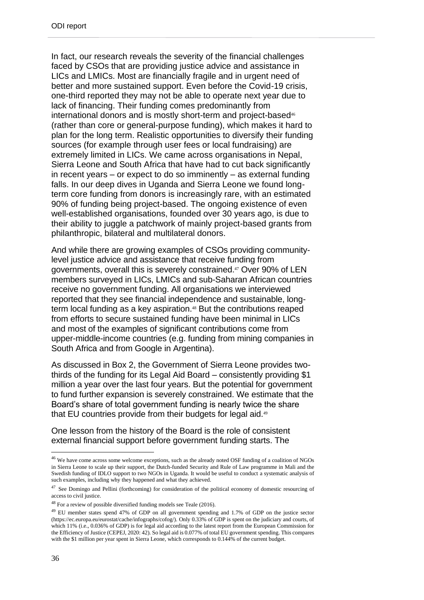In fact, our research reveals the severity of the financial challenges faced by CSOs that are providing justice advice and assistance in LICs and LMICs. Most are financially fragile and in urgent need of better and more sustained support. Even before the Covid-19 crisis, one-third reported they may not be able to operate next year due to lack of financing. Their funding comes predominantly from international donors and is mostly short-term and project-based<sup>46</sup> (rather than core or general-purpose funding), which makes it hard to plan for the long term. Realistic opportunities to diversify their funding sources (for example through user fees or local fundraising) are extremely limited in LICs. We came across organisations in Nepal, Sierra Leone and South Africa that have had to cut back significantly in recent years – or expect to do so imminently – as external funding falls. In our deep dives in Uganda and Sierra Leone we found longterm core funding from donors is increasingly rare, with an estimated 90% of funding being project-based. The ongoing existence of even well-established organisations, founded over 30 years ago, is due to their ability to juggle a patchwork of mainly project-based grants from philanthropic, bilateral and multilateral donors.

And while there are growing examples of CSOs providing communitylevel justice advice and assistance that receive funding from governments, overall this is severely constrained.<sup>47</sup> Over 90% of LEN members surveyed in LICs, LMICs and sub-Saharan African countries receive no government funding. All organisations we interviewed reported that they see financial independence and sustainable, longterm local funding as a key aspiration.<sup>48</sup> But the contributions reaped from efforts to secure sustained funding have been minimal in LICs and most of the examples of significant contributions come from upper-middle-income countries (e.g. funding from mining companies in South Africa and from Google in Argentina).

As discussed in Box 2, the Government of Sierra Leone provides twothirds of the funding for its Legal Aid Board – consistently providing \$1 million a year over the last four years. But the potential for government to fund further expansion is severely constrained. We estimate that the Board's share of total government funding is nearly twice the share that EU countries provide from their budgets for legal aid.<sup>49</sup>

One lesson from the history of the Board is the role of consistent external financial support before government funding starts. The

<sup>46</sup> We have come across some welcome exceptions, such as the already noted OSF funding of a coalition of NGOs in Sierra Leone to scale up their support, the Dutch-funded Security and Rule of Law programme in Mali and the Swedish funding of IDLO support to two NGOs in Uganda. It would be useful to conduct a systematic analysis of such examples, including why they happened and what they achieved.

<sup>47</sup> See Domingo and Pellini (forthcoming) for consideration of the political economy of domestic resourcing of access to civil justice.

<sup>48</sup> For a review of possible diversified funding models see Teale (2016).

<sup>49</sup> EU member states spend 47% of GDP on all government spending and 1.7% of GDP on the justice sector [\(https://ec.europa.eu/eurostat/cache/infographs/cofog/\).](https://ec.europa.eu/eurostat/cache/infographs/cofog/).) Only 0.33% of GDP is spent on the judiciary and courts, of which 11% (i.e., 0.036% of GDP) is for legal aid according to the latest report from the European Commission for the Efficiency of Justice (CEPEJ, 2020: 42). So legal aid is 0.077% of total EU government spending. This compares with the \$1 million per year spent in Sierra Leone, which corresponds to 0.144% of the current budget.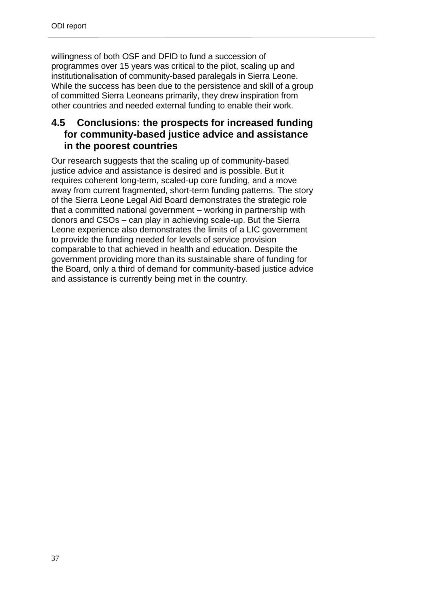willingness of both OSF and DFID to fund a succession of programmes over 15 years was critical to the pilot, scaling up and institutionalisation of community-based paralegals in Sierra Leone. While the success has been due to the persistence and skill of a group of committed Sierra Leoneans primarily, they drew inspiration from other countries and needed external funding to enable their work.

#### **4.5 Conclusions: the prospects for increased funding for community-based justice advice and assistance in the poorest countries**

Our research suggests that the scaling up of community-based justice advice and assistance is desired and is possible. But it requires coherent long-term, scaled-up core funding, and a move away from current fragmented, short-term funding patterns. The story of the Sierra Leone Legal Aid Board demonstrates the strategic role that a committed national government – working in partnership with donors and CSOs – can play in achieving scale-up. But the Sierra Leone experience also demonstrates the limits of a LIC government to provide the funding needed for levels of service provision comparable to that achieved in health and education. Despite the government providing more than its sustainable share of funding for the Board, only a third of demand for community-based justice advice and assistance is currently being met in the country.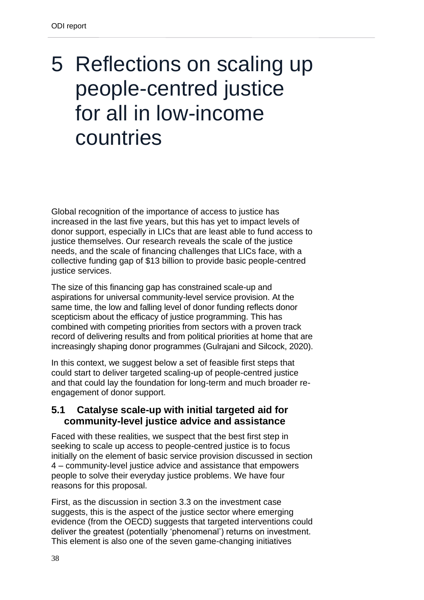## 5 Reflections on scaling up people-centred justice for all in low-income countries

Global recognition of the importance of access to justice has increased in the last five years, but this has yet to impact levels of donor support, especially in LICs that are least able to fund access to justice themselves. Our research reveals the scale of the justice needs, and the scale of financing challenges that LICs face, with a collective funding gap of \$13 billion to provide basic people-centred justice services.

The size of this financing gap has constrained scale-up and aspirations for universal community-level service provision. At the same time, the low and falling level of donor funding reflects donor scepticism about the efficacy of justice programming. This has combined with competing priorities from sectors with a proven track record of delivering results and from political priorities at home that are increasingly shaping donor programmes (Gulrajani and Silcock, 2020).

In this context, we suggest below a set of feasible first steps that could start to deliver targeted scaling-up of people-centred justice and that could lay the foundation for long-term and much broader reengagement of donor support.

#### **5.1 Catalyse scale-up with initial targeted aid for community-level justice advice and assistance**

Faced with these realities, we suspect that the best first step in seeking to scale up access to people-centred justice is to focus initially on the element of basic service provision discussed in section 4 – community-level justice advice and assistance that empowers people to solve their everyday justice problems. We have four reasons for this proposal.

First, as the discussion in section 3.3 on the investment case suggests, this is the aspect of the justice sector where emerging evidence (from the OECD) suggests that targeted interventions could deliver the greatest (potentially 'phenomenal') returns on investment. This element is also one of the seven game-changing initiatives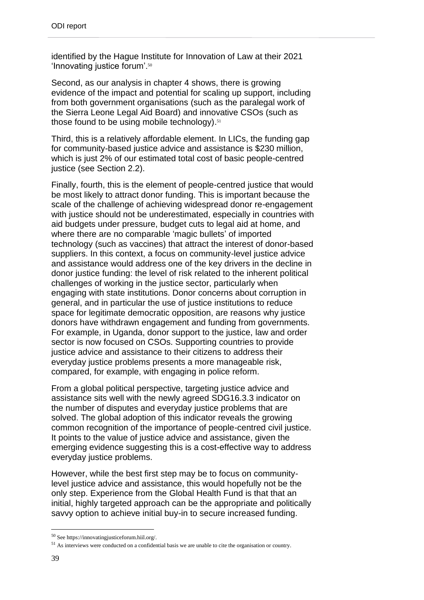identified by the Hague Institute for Innovation of Law at their 2021 'Innovating justice forum'.<sup>50</sup>

Second, as our analysis in chapter 4 shows, there is growing evidence of the impact and potential for scaling up support, including from both government organisations (such as the paralegal work of the Sierra Leone Legal Aid Board) and innovative CSOs (such as those found to be using mobile technology). 51

Third, this is a relatively affordable element. In LICs, the funding gap for community-based justice advice and assistance is \$230 million, which is just 2% of our estimated total cost of basic people-centred justice (see Section 2.2).

Finally, fourth, this is the element of people-centred justice that would be most likely to attract donor funding. This is important because the scale of the challenge of achieving widespread donor re-engagement with justice should not be underestimated, especially in countries with aid budgets under pressure, budget cuts to legal aid at home, and where there are no comparable 'magic bullets' of imported technology (such as vaccines) that attract the interest of donor-based suppliers. In this context, a focus on community-level justice advice and assistance would address one of the key drivers in the decline in donor justice funding: the level of risk related to the inherent political challenges of working in the justice sector, particularly when engaging with state institutions. Donor concerns about corruption in general, and in particular the use of justice institutions to reduce space for legitimate democratic opposition, are reasons why justice donors have withdrawn engagement and funding from governments. For example, in Uganda, donor support to the justice, law and order sector is now focused on CSOs. Supporting countries to provide justice advice and assistance to their citizens to address their everyday justice problems presents a more manageable risk, compared, for example, with engaging in police reform.

From a global political perspective, targeting justice advice and assistance sits well with the newly agreed SDG16.3.3 indicator on the number of disputes and everyday justice problems that are solved. The global adoption of this indicator reveals the growing common recognition of the importance of people-centred civil justice. It points to the value of justice advice and assistance, given the emerging evidence suggesting this is a cost-effective way to address everyday justice problems.

However, while the best first step may be to focus on communitylevel justice advice and assistance, this would hopefully not be the only step. Experience from the Global Health Fund is that that an initial, highly targeted approach can be the appropriate and politically savvy option to achieve initial buy-in to secure increased funding.

 $^{50}$  Se[e https://innovatingjusticeforum.hiil.org/.](https://innovatingjusticeforum.hiil.org/)

<sup>51</sup> As interviews were conducted on a confidential basis we are unable to cite the organisation or country.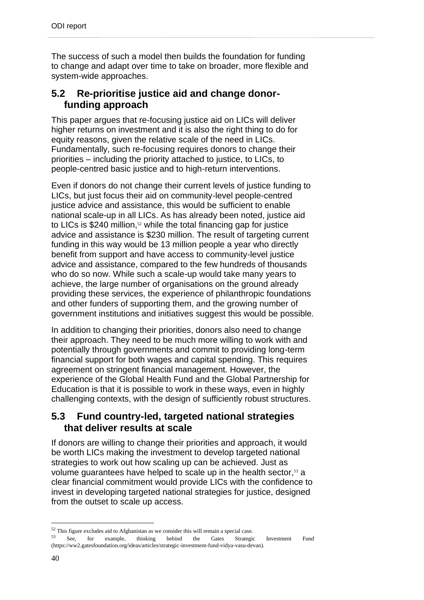The success of such a model then builds the foundation for funding to change and adapt over time to take on broader, more flexible and system-wide approaches.

### **5.2 Re-prioritise justice aid and change donorfunding approach**

This paper argues that re-focusing justice aid on LICs will deliver higher returns on investment and it is also the right thing to do for equity reasons, given the relative scale of the need in LICs. Fundamentally, such re-focusing requires donors to change their priorities – including the priority attached to justice, to LICs, to people-centred basic justice and to high-return interventions.

Even if donors do not change their current levels of justice funding to LICs, but just focus their aid on community-level people-centred justice advice and assistance, this would be sufficient to enable national scale-up in all LICs. As has already been noted, justice aid to LICs is \$240 million, $52$  while the total financing gap for justice advice and assistance is \$230 million. The result of targeting current funding in this way would be 13 million people a year who directly benefit from support and have access to community-level justice advice and assistance, compared to the few hundreds of thousands who do so now. While such a scale-up would take many years to achieve, the large number of organisations on the ground already providing these services, the experience of philanthropic foundations and other funders of supporting them, and the growing number of government institutions and initiatives suggest this would be possible.

In addition to changing their priorities, donors also need to change their approach. They need to be much more willing to work with and potentially through governments and commit to providing long-term financial support for both wages and capital spending. This requires agreement on stringent financial management. However, the experience of the Global Health Fund and the Global Partnership for Education is that it is possible to work in these ways, even in highly challenging contexts, with the design of sufficiently robust structures.

#### **5.3 Fund country-led, targeted national strategies that deliver results at scale**

If donors are willing to change their priorities and approach, it would be worth LICs making the investment to develop targeted national strategies to work out how scaling up can be achieved. Just as volume guarantees have helped to scale up in the health sector,<sup>53</sup> a clear financial commitment would provide LICs with the confidence to invest in developing targeted national strategies for justice, designed from the outset to scale up access.

<sup>52</sup> This figure excludes aid to Afghanistan as we consider this will remain a special case.

<sup>53</sup> See, for example, thinking behind the Gates Strategic Investment Fund [\(https://ww2.gatesfoundation.org/ideas/articles/strategic-investment-fund-vidya-vasu-devan\)](https://ww2.gatesfoundation.org/ideas/articles/strategic-investment-fund-vidya-vasu-devan).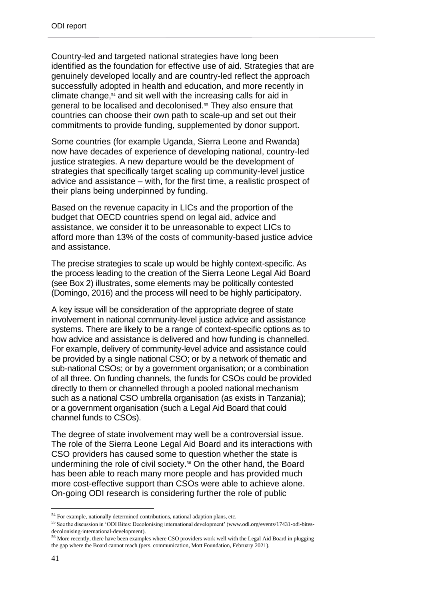Country-led and targeted national strategies have long been identified as the foundation for effective use of aid. Strategies that are genuinely developed locally and are country-led reflect the approach successfully adopted in health and education, and more recently in climate change,<sup>54</sup> and sit well with the increasing calls for aid in general to be localised and decolonised.<sup>55</sup> They also ensure that countries can choose their own path to scale-up and set out their commitments to provide funding, supplemented by donor support.

Some countries (for example Uganda, Sierra Leone and Rwanda) now have decades of experience of developing national, country-led justice strategies. A new departure would be the development of strategies that specifically target scaling up community-level justice advice and assistance – with, for the first time, a realistic prospect of their plans being underpinned by funding.

Based on the revenue capacity in LICs and the proportion of the budget that OECD countries spend on legal aid, advice and assistance, we consider it to be unreasonable to expect LICs to afford more than 13% of the costs of community-based justice advice and assistance.

The precise strategies to scale up would be highly context-specific. As the process leading to the creation of the Sierra Leone Legal Aid Board (see Box 2) illustrates, some elements may be politically contested (Domingo, 2016) and the process will need to be highly participatory.

A key issue will be consideration of the appropriate degree of state involvement in national community-level justice advice and assistance systems. There are likely to be a range of context-specific options as to how advice and assistance is delivered and how funding is channelled. For example, delivery of community-level advice and assistance could be provided by a single national CSO; or by a network of thematic and sub-national CSOs; or by a government organisation; or a combination of all three. On funding channels, the funds for CSOs could be provided directly to them or channelled through a pooled national mechanism such as a national CSO umbrella organisation (as exists in Tanzania); or a government organisation (such a Legal Aid Board that could channel funds to CSOs).

The degree of state involvement may well be a controversial issue. The role of the Sierra Leone Legal Aid Board and its interactions with CSO providers has caused some to question whether the state is undermining the role of civil society.<sup>56</sup> On the other hand, the Board has been able to reach many more people and has provided much more cost-effective support than CSOs were able to achieve alone. On-going ODI research is considering further the role of public

 $^{54}$  For example, nationally determined contributions, national adaption plans, etc.

<sup>55</sup> See the discussion in 'ODI Bites: Decolonising international development' [\(www.odi.org/events/17431-odi-bites](http://www.odi.org/events/17431-odi-bites-decolonising-international-development)[decolonising-international-development\)](http://www.odi.org/events/17431-odi-bites-decolonising-international-development).

<sup>&</sup>lt;sup>56</sup> More recently, there have been examples where CSO providers work well with the Legal Aid Board in plugging the gap where the Board cannot reach (pers. communication, Mott Foundation, February 2021).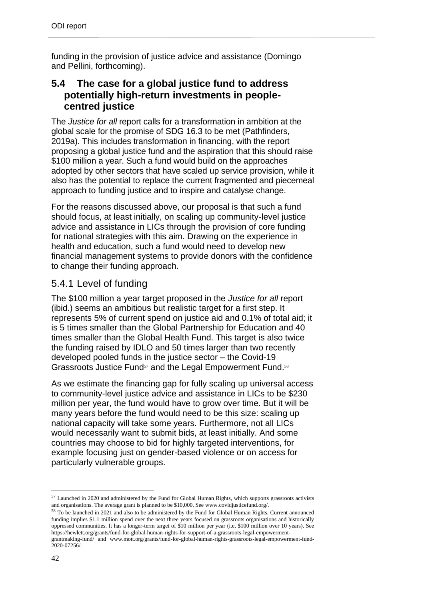funding in the provision of justice advice and assistance (Domingo and Pellini, forthcoming).

#### **5.4 The case for a global justice fund to address potentially high-return investments in peoplecentred justice**

The *Justice for all* report calls for a transformation in ambition at the global scale for the promise of SDG 16.3 to be met (Pathfinders, 2019a). This includes transformation in financing, with the report proposing a global justice fund and the aspiration that this should raise \$100 million a year. Such a fund would build on the approaches adopted by other sectors that have scaled up service provision, while it also has the potential to replace the current fragmented and piecemeal approach to funding justice and to inspire and catalyse change.

For the reasons discussed above, our proposal is that such a fund should focus, at least initially, on scaling up community-level justice advice and assistance in LICs through the provision of core funding for national strategies with this aim. Drawing on the experience in health and education, such a fund would need to develop new financial management systems to provide donors with the confidence to change their funding approach.

#### 5.4.1 Level of funding

The \$100 million a year target proposed in the *Justice for all* report (ibid.) seems an ambitious but realistic target for a first step. It represents 5% of current spend on justice aid and 0.1% of total aid; it is 5 times smaller than the Global Partnership for Education and 40 times smaller than the Global Health Fund. This target is also twice the funding raised by IDLO and 50 times larger than two recently developed pooled funds in the justice sector – the Covid-19 Grassroots Justice Fund<sup>57</sup> and the Legal Empowerment Fund.<sup>58</sup>

As we estimate the financing gap for fully scaling up universal access to community-level justice advice and assistance in LICs to be \$230 million per year, the fund would have to grow over time. But it will be many years before the fund would need to be this size: scaling up national capacity will take some years. Furthermore, not all LICs would necessarily want to submit bids, at least initially. And some countries may choose to bid for highly targeted interventions, for example focusing just on gender-based violence or on access for particularly vulnerable groups.

<sup>&</sup>lt;sup>57</sup> Launched in 2020 and administered by the Fund for Global Human Rights, which supports grassroots activists and organisations. The average grant is planned to be \$10,000. See [www.covidjusticefund.org/.](http://www.covidjusticefund.org/) 

<sup>58</sup> To be launched in 2021 and also to be administered by the Fund for Global Human Rights. Current announced funding implies \$1.1 million spend over the next three years focused on grassroots organisations and historically oppressed communities. It has a longer-term target of \$10 million per year (i.e. \$100 million over 10 years). See [https://hewlett.org/grants/fund-for-global-human-rights-for-support-of-a-grassroots-legal-empowerment](https://hewlett.org/grants/fund-for-global-human-rights-for-support-of-a-grassroots-legal-empowerment-grantmaking-fund/)[grantmaking-fund/](https://hewlett.org/grants/fund-for-global-human-rights-for-support-of-a-grassroots-legal-empowerment-grantmaking-fund/) and [www.mott.org/grants/fund-for-global-human-rights-grassroots-legal-empowerment-fund-](http://www.mott.org/grants/fund-for-global-human-rights-grassroots-legal-empowerment-fund-2020-07256/)

[<sup>2020-07256/.</sup>](http://www.mott.org/grants/fund-for-global-human-rights-grassroots-legal-empowerment-fund-2020-07256/)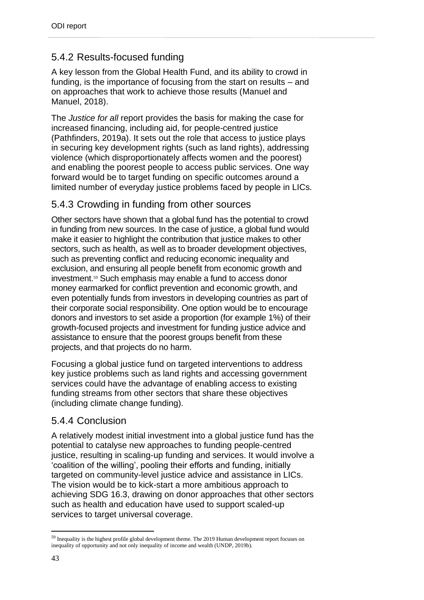### 5.4.2 Results-focused funding

A key lesson from the Global Health Fund, and its ability to crowd in funding, is the importance of focusing from the start on results – and on approaches that work to achieve those results (Manuel and Manuel, 2018).

The *Justice for all* report provides the basis for making the case for increased financing, including aid, for people-centred justice (Pathfinders, 2019a). It sets out the role that access to justice plays in securing key development rights (such as land rights), addressing violence (which disproportionately affects women and the poorest) and enabling the poorest people to access public services. One way forward would be to target funding on specific outcomes around a limited number of everyday justice problems faced by people in LICs.

### 5.4.3 Crowding in funding from other sources

Other sectors have shown that a global fund has the potential to crowd in funding from new sources. In the case of justice, a global fund would make it easier to highlight the contribution that justice makes to other sectors, such as health, as well as to broader development objectives, such as preventing conflict and reducing economic inequality and exclusion, and ensuring all people benefit from economic growth and investment.<sup>59</sup> Such emphasis may enable a fund to access donor money earmarked for conflict prevention and economic growth, and even potentially funds from investors in developing countries as part of their corporate social responsibility. One option would be to encourage donors and investors to set aside a proportion (for example 1%) of their growth-focused projects and investment for funding justice advice and assistance to ensure that the poorest groups benefit from these projects, and that projects do no harm.

Focusing a global justice fund on targeted interventions to address key justice problems such as land rights and accessing government services could have the advantage of enabling access to existing funding streams from other sectors that share these objectives (including climate change funding).

#### 5.4.4 Conclusion

A relatively modest initial investment into a global justice fund has the potential to catalyse new approaches to funding people-centred justice, resulting in scaling-up funding and services. It would involve a 'coalition of the willing', pooling their efforts and funding, initially targeted on community-level justice advice and assistance in LICs. The vision would be to kick-start a more ambitious approach to achieving SDG 16.3, drawing on donor approaches that other sectors such as health and education have used to support scaled-up services to target universal coverage.

<sup>59</sup> Inequality is the highest profile global development theme. The 2019 Human development report focuses on inequality of opportunity and not only inequality of income and wealth (UNDP, 2019b).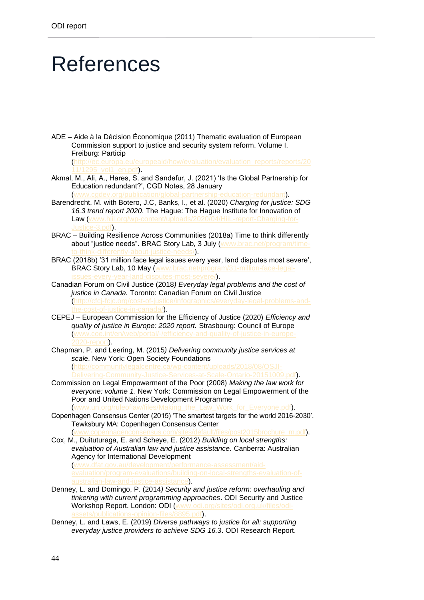### References

ADE – Aide à la Décision Économique (2011) Thematic evaluation of European Commission support to justice and security system reform. Volume I. Freiburg: Particip [\(http://ec.europa.eu/europeaid/how/evaluation/evaluation\\_reports/reports/20](http://ec.europa.eu/europeaid/how/evaluation/evaluation_reports/reports/2011/1295_vol1_en.pdf)

/1295\_vol1\_en.pdf). Akmal, M., Ali, A., Hares, S. and Sandefur, J. (2021) 'Is the Global Partnership for

- Education redundant?', CGD Notes, 28 January [\(www.cgdev.org/publication/global-partnership-education-redundant\)](http://www.cgdev.org/publication/global-partnership-education-redundant).
- Barendrecht, M. with Botero, J.C, Banks, I., et al. (2020) *Charging for justice: SDG 16.3 trend report 2020*. The Hague: The Hague Institute for Innovation of Law [\(www.hiil.org/wp-content/uploads/2020/04/HiiL-report-Charging-for-](http://www.hiil.org/wp-content/uploads/2020/04/HiiL-report-Charging-for-Justice-3.pdf)[Justice-3.pdf\)](http://www.hiil.org/wp-content/uploads/2020/04/HiiL-report-Charging-for-Justice-3.pdf).
- BRAC Building Resilience Across Communities (2018a) Time to think differently about "justice needs". BRAC Story Lab, 3 July [\(www.brac.net/program/time](http://www.brac.net/program/time-to-think-differently-about-justice-needs/)rently-about-justice-needs/).
- BRAC (2018b) '31 million face legal issues every year, land disputes most severe', BRAC Story Lab, 10 May [\(www.brac.net/program/31-million-face-legal](http://www.brac.net/program/31-million-face-legal-issues-every-year-land-disputes-most-severe/)every-year-land-disputes-most-severe/).
- Canadian Forum on Civil Justice (2018*) Everyday legal problems and the cost of justice in Canada.* Toronto: Canadian Forum on Civil Justice [\(http://cfcj-fcjc.org/cost-of-justice/infographics/everyday-legal-problems-and](http://cfcj-fcjc.org/cost-of-justice/infographics/everyday-legal-problems-and-the-cost-of-justice-in-canada/)[the-cost-of-justice-in-canada/\)](http://cfcj-fcjc.org/cost-of-justice/infographics/everyday-legal-problems-and-the-cost-of-justice-in-canada/).
- CEPEJ European Commission for the Efficiency of Justice (2020) *Efficiency and quality of justice in Europe: 2020 report.* Strasbourg: Council of Europe [\(www.coe.int/en/web/portal/-/efficiency-and-quality-of-justice-in-europe-](http://www.coe.int/en/web/portal/-/efficiency-and-quality-of-justice-in-europe-2020-report)[2020-report\)](http://www.coe.int/en/web/portal/-/efficiency-and-quality-of-justice-in-europe-2020-report).
- Chapman, P. and Leering, M. (2015*) Delivering community justice services at scal*e. New York: Open Society Foundations [\(http://communitylegalcentre.ca/wp-content/uploads/2018/08/OSJI-](http://communitylegalcentre.ca/wp-content/uploads/2018/08/OSJI-Delivering-Community-Justice-Services-at-Scale-Ontario-20151009.pdf)[Delivering-Community-Justice-Services-at-Scale-Ontario-20151009.pdf\)](http://communitylegalcentre.ca/wp-content/uploads/2018/08/OSJI-Delivering-Community-Justice-Services-at-Scale-Ontario-20151009.pdf).
- Commission on Legal Empowerment of the Poor (2008) *Making the law work for everyone: volume 1.* New York: Commission on Legal Empowerment of the Poor and United Nations Development Programme ng the Law Work for Everyone.pdf).
- Copenhagen Consensus Center (2015) 'The smartest targets for the world 2016-2030'. Tewksbury MA: Copenhagen Consensus Center (default/files/post2015brochure\_m.pdf).
- Cox, M., Duituturaga, E. and Scheye, E. (2012) *Building on local strengths: evaluation of Australian law and justice assistance.* Canberra: Australian Agency for International Development [\(www.dfat.gov.au/development/performance-assessment/aid](http://www.dfat.gov.au/development/performance-assessment/aid-evaluation/program-evaluations/building-on-local-strengths-evaluation-of-australian-law-and-justice-assistance)[australian-law-and-justice-assistance\)](http://www.dfat.gov.au/development/performance-assessment/aid-evaluation/program-evaluations/building-on-local-strengths-evaluation-of-australian-law-and-justice-assistance).
- Denney, L. and Domingo, P. (2014*) Security and justice reform: overhauling and tinkering with current programming approaches*. ODI Security and Justice Workshop Report. London: ODI [\(www.odi.org/sites/odi.org.uk/files/odi](http://www.odi.org/sites/odi.org.uk/files/odi-assets/publications-opinion-files/8895.pdf)[assets/publications-opinion-files/8895.pdf\)](http://www.odi.org/sites/odi.org.uk/files/odi-assets/publications-opinion-files/8895.pdf).
- Denney, L. and Laws, E. (2019) *Diverse pathways to justice for all: supporting everyday justice providers to achieve SDG 16.3*. ODI Research Report.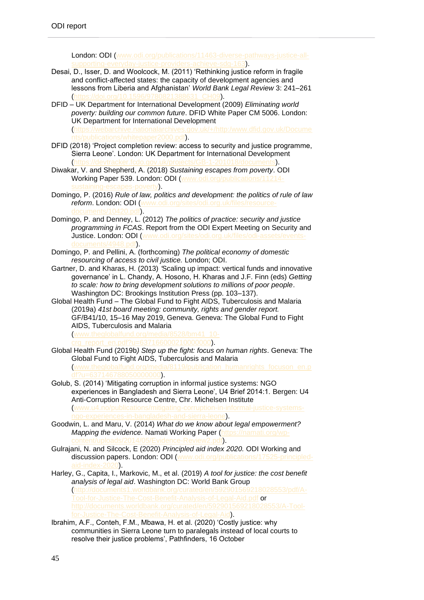London: ODI [\(www.odi.org/publications/11463-diverse-pathways-justice-all](http://www.odi.org/publications/11463-diverse-pathways-justice-all-supporting-everyday-justice-providers-achieve-sdg-163)ve-sdg-163).

- Desai, D., Isser, D. and Woolcock, M. (2011) 'Rethinking justice reform in fragile and conflict-affected states: the capacity of development agencies and lessons from Liberia and Afghanistan' *World Bank Legal Review* 3: 241–261 [\(https://doi.org/10.1596/9780821388631\\_CH09\)](https://doi.org/10.1596/9780821388631_CH09).
- DFID UK Department for International Development (2009) *Eliminating world poverty: building our common future*. DFID White Paper CM 5006. London: UK Department for International Development [\(https://webarchive.nationalarchives.gov.uk/+/http:/www.dfid.gov.uk/Docume](https://webarchive.nationalarchives.gov.uk/+/http:/www.dfid.gov.uk/Documents/publications/whitepaper2000.pdf) ts/publications/whitepaper2000.pdf).
- DFID (2018) 'Project completion review: access to security and justice programme, Sierra Leone'. London: UK Department for International Development [\(https://devtracker.fcdo.gov.uk/projects/GB-1-201018/documents\)](https://devtracker.fcdo.gov.uk/projects/GB-1-201018/documents).
- Diwakar, V. and Shepherd, A. (2018) *Sustaining escapes from poverty*. ODI Working Paper 539. London: ODI [\(www.odi.org/publications/11214](http://www.odi.org/publications/11214-sustaining-escapes-poverty) apes-poverty).
- Domingo, P. (2016) *Rule of law, politics and development: the politics of rule of law reform*. London: ODI [\(www.odi.org/sites/odi.org.uk/files/resource](http://www.odi.org/sites/odi.org.uk/files/resource-documents/10420.pdf)[documents/10420.pdf\)](http://www.odi.org/sites/odi.org.uk/files/resource-documents/10420.pdf).
- Domingo, P. and Denney, L. (2012) *The politics of practice: security and justice programming in FCAS*. Report from the ODI Expert Meeting on Security and **Justice. London: ODI [\(www.odi.org/sites/odi.org.uk/files/odi-assets/events](https://www.odi.org/sites/odi.org.uk/files/odi-assets/events-documents/4948.pdf)**[documents/4948.pdf\)](https://www.odi.org/sites/odi.org.uk/files/odi-assets/events-documents/4948.pdf).
- Domingo, P. and Pellini, A. (forthcoming) *The political economy of domestic resourcing of access to civil justice.* London; ODI.
- Gartner, D. and Kharas, H. (2013) *'*Scaling up impact: vertical funds and innovative governance' in L. Chandy, A. Hosono, H. Kharas and J.F. Finn (eds) *Getting to scale: how to bring development solutions to millions of poor people*. Washington DC: Brookings Institution Press (pp. 103–137).
- Global Health Fund The Global Fund to Fight AIDS, Tuberculosis and Malaria (2019a) *41st board meeting: community, rights and gender report.* GF/B41/10, 15–16 May 2019, Geneva. Geneva: The Global Fund to Fight AIDS, Tuberculosis and Malaria [\(www.theglobalfund.org/media/8528/bm41\\_10](http://www.theglobalfund.org/media/8528/bm41_10-crg_report_en.pdf?u=637166000210000000)
	- [crg\\_report\\_en.pdf?u=637166000210000000\)](http://www.theglobalfund.org/media/8528/bm41_10-crg_report_en.pdf?u=637166000210000000).
- Global Health Fund (2019b*) Step up the fight: focus on human rights*. Geneva: The Global Fund to Fight AIDS, Tuberculosis and Malaria www.theglobalfund.org/media/8119/publication\_humanrights\_focuson\_en.p vu=6371467880500000000
- Golub, S. (2014) 'Mitigating corruption in informal justice systems: NGO experiences in Bangladesh and Sierra Leone', U4 Brief 2014:1. Bergen: U4 Anti-Corruption Resource Centre, Chr. Michelsen Institute [\(www.u4.no/publications/mitigating-corruption-in-informal-justice-systems](https://www.u4.no/publications/mitigating-corruption-in-informal-justice-systems-ngo-experiences-in-bangladesh-and-sierra-leone)[ngo-experiences-in-bangladesh-and-sierra-leone\)](https://www.u4.no/publications/mitigating-corruption-in-informal-justice-systems-ngo-experiences-in-bangladesh-and-sierra-leone).
- Goodwin, L. and Maru, V. (2014) *What do we know about legal empowerment? Mapping the evidence.* Namati Working Paper [\(https://namati.org/wp-](https://namati.org/wp-content/uploads/2014/05/Evidence-Review2.pdf)Review2.pdf)
- Gulrajani, N. and Silcock, E (2020) *Principled aid index 2020.* ODI Working and discussion papers. London: ODI [\(www.odi.org/publications/17525-principled](https://www.odi.org/publications/17525-principled-aid-index-2020)[aid-index-2020\)](https://www.odi.org/publications/17525-principled-aid-index-2020).
- Harley, G., Capita, I., Markovic, M., et al. (2019) *A tool for justice: the cost benefit analysis of legal aid*. Washington DC: World Bank Group [\(http://documents1.worldbank.org/curated/en/592901569218028553/pdf/A-](http://documents1.worldbank.org/curated/en/592901569218028553/pdf/A-Tool-for-Justice-The-Cost-Benefit-Analysis-of-Legal-Aid.pdf)[Tool-for-Justice-The-Cost-Benefit-Analysis-of-Legal-Aid.pdf](http://documents1.worldbank.org/curated/en/592901569218028553/pdf/A-Tool-for-Justice-The-Cost-Benefit-Analysis-of-Legal-Aid.pdf) or [for-Justice-The-Cost-Benefit-Analysis-of-Legal-Aid\)](http://documents.worldbank.org/curated/en/592901569218028553/A-Tool-for-Justice-The-Cost-Benefit-Analysis-of-Legal-Aid).
- Ibrahim, A.F., Conteh, F.M., Mbawa, H. et al. (2020) 'Costly justice: why communities in Sierra Leone turn to paralegals instead of local courts to resolve their justice problems', Pathfinders, 16 October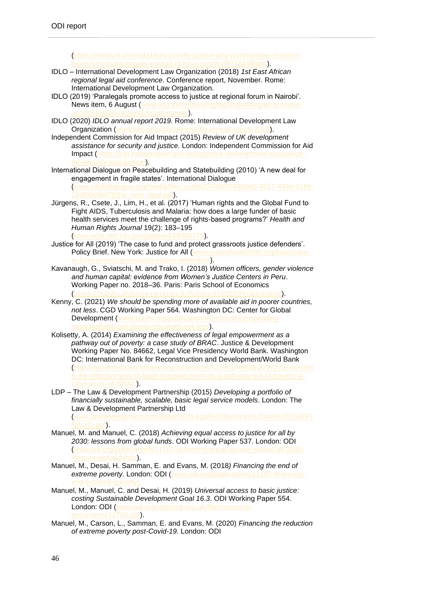[\(https://medium.com/sdg16plus/costly-justice-why-communities-in-sierra](https://medium.com/sdg16plus/costly-justice-why-communities-in-sierra-leone-turn-to-paralegals-instead-of-local-courts-d971844f6a9c)ne-turn-to-paralegals-instead-of-local-courts-d971844f6a9c).

- IDLO International Development Law Organization (2018) *1st East African regional legal aid conference*. Conference report, November. Rome: International Development Law Organization.
- IDLO (2019) 'Paralegals promote access to justice at regional forum in Nairobi'. News item, 6 August [\(www.idlo.int/fr/news/highlights/paralegals-promote-](https://www.idlo.int/fr/news/highlights/paralegals-promote-access-justice-regional-forum-nairobi)-regional-forum-nairobi).
- IDLO (2020) *IDLO annual report 2019.* Rome: International Development Law **Organization [\(www.idlo.int/publications/idlo-annual-report-2019\)](https://www.idlo.int/publications/idlo-annual-report-2019).**
- Independent Commission for Aid Impact (2015) *Review of UK development assistance for security and justice*. London: Independent Commission for Aid Impact [\(https://icai.independent.gov.uk/report/uk-development-assistance](https://icai.independent.gov.uk/report/uk-development-assistance-for-security-and-justice/)for-security-and-iustice/).
- International Dialogue on Peacebuilding and Statebuilding (2010) 'A new deal for engagement in fragile states'. International Dialogue [\(www.pbsbdialogue.org/media/filer\\_public/07/69/07692de0-3557-494e-918e-](https://www.pbsbdialogue.org/media/filer_public/07/69/07692de0-3557-494e-918e-18df00e9ef73/the_new_deal.pdf)8df00e9ef73/the\_new\_deal.pdf).
- Jürgens, R., Csete, J., Lim, H., et al. (2017) 'Human rights and the Global Fund to Fight AIDS, Tuberculosis and Malaria: how does a large funder of basic health services meet the challenge of rights-based programs?' *Health and Human Rights Journal* 19(2): 183–195 [\(www.ncbi.nlm.nih.gov/pubmed/29302175\)](http://www.ncbi.nlm.nih.gov/pubmed/29302175).
- Justice for All (2019) 'The case to fund and protect grassroots justice defenders'. Policy Brief. New York: Justice for All [\(www.justiceforall2030.org/tools/case](https://www.justiceforall2030.org/tools/case-to-fund-protect-grassroots-justice-defenders/)[to-fund-protect-grassroots-justice-defenders\)](https://www.justiceforall2030.org/tools/case-to-fund-protect-grassroots-justice-defenders/).
- Kavanaugh, G., Sviatschi, M. and Trako, I. (2018) *Women officers, gender violence and human capital: evidence from Women's Justice Centers in Peru*. Working Paper no. 2018–36. Paris: Paris School of Economics (<https://halshs.archives-ouvertes.fr/halshs-01828539/document>).
- Kenny, C. (2021) *We should be spending more of available aid in poorer countries, not less*. CGD Working Paper 564. Washington DC: Center for Global Development [\(www.cgdev.org/publication/we-should-be-spending](https://www.cgdev.org/publication/we-should-be-spending-moreavailable-aid-poorer-countries-not-less)le-aid-poorer-countries-not-less).
- Kolisetty, A. (2014) *Examining the effectiveness of legal empowerment as a pathway out of poverty: a case study of BRAC*. Justice & Development Working Paper No. 84662, Legal Vice Presidency World Bank. Washington DC: International Bank for Reconstruction and Development/World Bank [\(http://documents.worldbank.org/curated/en/937901468006879727/Examinin](http://documents.worldbank.org/curated/en/937901468006879727/Examining-the-effectiveness-of-legal-empowerment-as-a-pathway-out-of-poverty-a-case-study-of-BRAC) ase-study-of-BRAC).
- LDP The Law & Development Partnership (2015) *Developing a portfolio of financially sustainable, scalable, basic legal service models*. London: The Law & Development Partnership Ltd [\(www.lawdevelopment.com/Basic%20Legal%20Services%20vol%201%20FI](http://www.lawdevelopment.com/Basic%20Legal%20Services%20vol%201%20FINAL(1).pdf)  $AL(1).pdf$
- Manuel, M. and Manuel, C. (2018) *Achieving equal access to justice for all by 2030: lessons from global funds*. ODI Working Paper 537. London: ODI [\(www.odi.org/publications/11161-achieving-equal-access-justice-all-2030](http://www.odi.org/publications/11161-achieving-equal-access-justice-all-2030-lessons-global-funds) ssons-global-funds).
- Manuel, M., Desai, H. Samman, E. and Evans, M. (2018*) Financing the end of extreme poverty.* London: ODI [\(www.odi.org/publications/11187-financing-](http://www.odi.org/publications/11187-financing-end-extreme-poverty)
- Manuel, M., Manuel, C. and Desai, H. (2019) *Universal access to basic justice: costing Sustainable Development Goal 16.3*. ODI Working Paper 554. London: ODI (www.odi.org/sites/odi.org.uk/files/resource [documents/12702.pdf\)](http://www.odi.org/sites/odi.org.uk/files/resource-documents/12702.pdf).
- Manuel, M., Carson, L., Samman, E. and Evans, M. (2020) *Financing the reduction of extreme poverty post-Covid-19.* London: ODI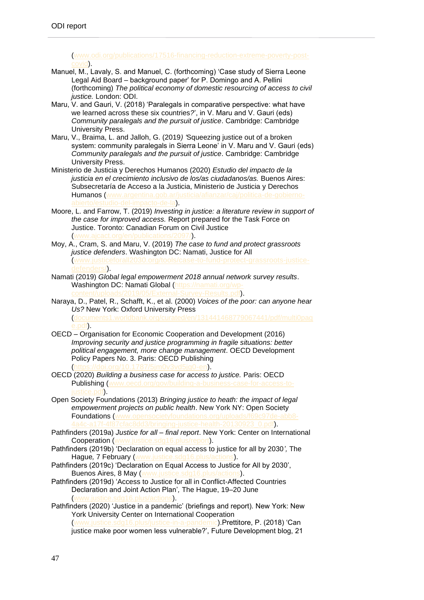[\(www.odi.org/publications/17516-financing-reduction-extreme-poverty-post](http://www.odi.org/publications/17516-financing-reduction-extreme-poverty-post-covid)vid).

- Manuel, M., Lavaly, S. and Manuel, C. (forthcoming) 'Case study of Sierra Leone Legal Aid Board – background paper' for P. Domingo and A. Pellini (forthcoming) *The political economy of domestic resourcing of access to civil justice.* London: ODI.
- Maru, V. and Gauri, V. (2018) 'Paralegals in comparative perspective: what have we learned across these six countries*?*', in V. Maru and V. Gauri (eds) *Community paralegals and the pursuit of justice*. Cambridge: Cambridge University Press.
- Maru, V., Braima, L. and Jalloh, G. (2019*) '*Squeezing justice out of a broken system: community paralegals in Sierra Leone' in V. Maru and V. Gauri (eds) *Community paralegals and the pursuit of justice*. Cambridge: Cambridge University Press.
- Ministerio de Justicia y Derechos Humanos (2020) *Estudio del impacto de la justicia en el crecimiento inclusivo de los/as ciudadanos/as.* Buenos Aires: Subsecretaría de Acceso a la Justicia, Ministerio de Justicia y Derechos Humanos [\(www.argentina.gob.ar/justicia/afianzar/caj/politica-de-gobierno](https://www.argentina.gob.ar/justicia/afianzar/caj/politica-de-gobierno-abierto/estudio-del-impacto-de-la)[abierto/estudio-del-impacto-de-la\)](https://www.argentina.gob.ar/justicia/afianzar/caj/politica-de-gobierno-abierto/estudio-del-impacto-de-la).
- Moore, L. and Farrow, T. (2019) *Investing in justice: a literature review in support of the case for improved access.* Report prepared for the Task Force on Justice. Toronto: Canadian Forum on Civil Justice [\(www.ajcact.org/en/publications/2097/\)](https://www.ajcact.org/en/publications/2097/).
- Moy, A., Cram, S. and Maru, V. (2019) *The case to fund and protect grassroots justice defenders*. Washington DC: Namati, Justice for All [\(www.justiceforall2030.org/tools/case-to-fund-protect-grassroots-justice](http://www.justiceforall2030.org/tools/case-to-fund-protect-grassroots-justice-defenders/)efenders/**).**
- Namati (2019) *Global legal empowerment 2018 annual network survey results*. Washington DC: Namati Global [\(https://namati.org/wp](https://namati.org/wp-content/uploads/2019/05/External-Survey-Results.pdf)[content/uploads/2019/05/External-Survey-Results.pdf\)](https://namati.org/wp-content/uploads/2019/05/External-Survey-Results.pdf).
- Naraya, D., Patel, R., Schafft, K., et al. (2000) *Voices of the poor: can anyone hear Us?* New York: Oxford University Press [\(documents1.worldbank.org/curated/en/131441468779067441/pdf/multi0pag](http://documents1.worldbank.org/curated/en/131441468779067441/pdf/multi0page.pdf) [e.pdf\)](http://documents1.worldbank.org/curated/en/131441468779067441/pdf/multi0page.pdf).
- OECD Organisation for Economic Cooperation and Development (2016) *Improving security and justice programming in fragile situations: better political engagement, more change management*. OECD Development Policy Papers No. 3. Paris: OECD Publishing 87/5jm0v3vd5jg0-en).
- OECD (2020) *Building a business case for access to justice.* Paris: OECD Publishing [\(www.oecd.org/gov/building-a-business-case-for-access-to](https://www.oecd.org/gov/building-a-business-case-for-access-to-justice.pdf)ustice.pdf).
- Open Society Foundations (2013) *Bringing justice to heath: the impact of legal empowerment projects on public health*. New York NY: Open Society Foundations [\(www.opensocietyfoundations.org/uploads/f69c97de-abb8-](https://www.opensocietyfoundations.org/uploads/f69c97de-abb8-4a4c-a17f-4f87cfac8dd3/bringing-justice-health-20130923_0.pdf) 7cfac8dd3/bringing-justice-health-20130923\_0.pdf).
- Pathfinders (2019a) *Justice for all – final report*. New York: Center on International Cooperation [\(www.justice.sdg16.plus/report\)](http://www.justice.sdg16.plus/report).
- Pathfinders (2019b) 'Declaration on equal access to justice for all by 2030*',* The Hague, 7 February [\(www.justice.sdg16.plus/actions\)](https://www.justice.sdg16.plus/actions).
- Pathfinders (2019c) 'Declaration on Equal Access to Justice for All by 2030', Buenos Aires, 8 May [\(www.justice.sdg16.plus/actions\)](https://www.justice.sdg16.plus/actions).
- Pathfinders (2019d) 'Access to Justice for all in Conflict-Affected Countries Declaration and Joint Action Plan'*,* The Hague, 19–20 June [\(www.justice.sdg16.plus/actions\)](https://www.justice.sdg16.plus/actions).
- Pathfinders (2020) 'Justice in a pandemic' (briefings and report). New York: New York University Center on International Cooperation [\(www.justice.sdg16.plus/justice-in-a-pandemic\)](https://www.justice.sdg16.plus/justice-in-a-pandemic).Prettitore, P. (2018) 'Can justice make poor women less vulnerable?', Future Development blog, 21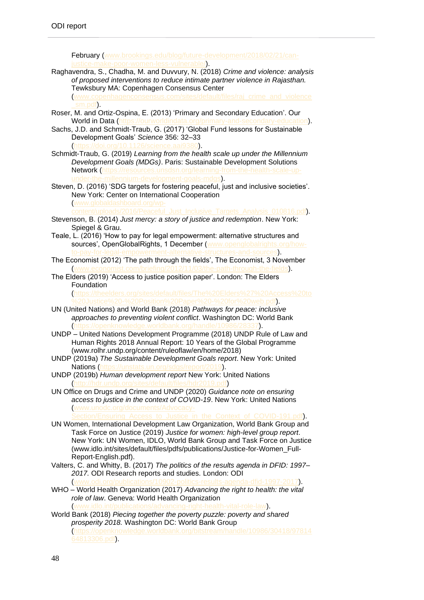February [\(www.brookings.edu/blog/future-development/2018/02/21/can-](https://www.brookings.edu/blog/future-development/2018/02/21/can-justice-make-poor-women-less-vulnerable/)-poor-women-less-vulnerable/).

Raghavendra, S., Chadha, M. and Duvvury, N. (2018) *Crime and violence: analysis of proposed interventions to reduce intimate partner violence in Rajasthan.*  Tewksbury MA: Copenhagen Consensus Center [\(www.copenhagenconsensus.com/sites/default/files/raj\\_crime\\_and\\_violence](https://www.copenhagenconsensus.com/sites/default/files/raj_crime_and_violence_sm.pdf)

[\\_sm.pdf\)](https://www.copenhagenconsensus.com/sites/default/files/raj_crime_and_violence_sm.pdf).

- Roser, M. and Ortiz-Ospina, E. (2013) 'Primary and Secondary Education'. Our<br>World in Data (https://ourworldindata.org/primary-and-secondary-education ://ourworldindata.org/primary-and-secondary-education).
- Sachs, J.D. and Schmidt-Traub, G. (2017) 'Global Fund lessons for Sustainable Development Goals' *Science* 356: 32–33 [\(https://doi.org/10.1126/science.aai9380\)](https://doi.org/10.1126/science.aai9380).
- Schmidt-Traub, G. (2019) *Learning from the health scale up under the Millennium Development Goals (MDGs)*. Paris: Sustainable Development Solutions Network [\(https://resources.unsdsn.org/learning-from-the-health-scale-up](https://resources.unsdsn.org/learning-from-the-health-scale-up-under-the-millennium-development-goals-mdgs)[under-the-millennium-development-goals-mdgs\)](https://resources.unsdsn.org/learning-from-the-health-scale-up-under-the-millennium-development-goals-mdgs).
- Steven, D. (2016) 'SDG targets for fostering peaceful, just and inclusive societies'. New York: Center on International Cooperation [\(www.globaldashboard.org/wp-](https://www.globaldashboard.org/wp-content/uploads/2016/Peaceful_Just_Inclusive_Targets_Analysis_010816.pdf)

[content/uploads/2016/Peaceful\\_Just\\_Inclusive\\_Targets\\_Analysis\\_010816.pdf\)](https://www.globaldashboard.org/wp-content/uploads/2016/Peaceful_Just_Inclusive_Targets_Analysis_010816.pdf). Stevenson, B. (2014) *Just mercy: a story of justice and redemption*. New York:

- Spiegel & Grau.
- Teale, L. (2016) 'How to pay for legal empowerment: alternative structures and sources', OpenGlobalRights, 1 December [\(www.openglobalrights.org/how](http://www.openglobalrights.org/how-to-pay-for-legal-empowerment-alternative-structures-and-sources)[to-pay-for-legal-empowerment-alternative-structures-and-sources\)](http://www.openglobalrights.org/how-to-pay-for-legal-empowerment-alternative-structures-and-sources).
- The Economist (2012) 'The path through the fields', The Economist, 3 November [\(www.economist.com/briefing/2012/11/03/the-path-through-the-fields\)](https://www.economist.com/briefing/2012/11/03/the-path-through-the-fields).
- The Elders (2019) 'Access to justice position paper'. London: The Elders Foundation

[\(https://theelders.org/sites/default/files/The%20Elders%27%20Access%20to](https://theelders.org/sites/default/files/The%20Elders%27%20Access%20to%20Justice%20-%20Position%20Paper%20-%20for%20web.pdf) Justice%20-%20Position%20Paper%20-%20for%20web.pdf).

UN (United Nations) and World Bank (2018) *Pathways for peace: inclusive approaches to preventing violent conflict*. Washington DC: World Bank [\(https://openknowledge.worldbank.org/handle/10986/28337\)](https://openknowledge.worldbank.org/handle/10986/28337).

UNDP – United Nations Development Programme (2018) UNDP Rule of Law and Human Rights 2018 Annual Report: 10 Years of the Global Programme (www.rolhr.undp.org/content/ruleoflaw/en/home/2018)

- UNDP (2019a) *The Sustainable Development Goals report*. New York: United Nations [\(https://unstats.un.org/sdgs/report/2019\)](https://unstats.un.org/sdgs/report/2019/).
- UNDP (2019b) *Human development report* New York: United Nations dr.undp.org/sites/default/files/hdr2019.pdf
- UN Office on Drugs and Crime and UNDP (2020) *Guidance note on ensuring access to justice in the context of COVID-19*. New York: United Nations [\(www.unodc.org/documents/Advocacy](https://www.unodc.org/documents/Advocacy-Section/Ensuring_Access_to_Justice_in_the_Context_of_COVID-191.pdf)ection/Ensuring\_Access\_to\_Justice\_in\_the\_Context\_of\_COVID-191.pdf).

UN Women, International Development Law Organization, World Bank Group and Task Force on Justice (2019) *Justice for women: high-level group report*. New York: UN Women, IDLO, World Bank Group and Task Force on Justice [\(www.idlo.int/sites/default/files/pdfs/publications/Justice-for-Women\\_Full-](http://www.idlo.int/sites/default/files/pdfs/publications/Justice-for-Women_Full-Report-English.pdf)[Report-English.pdf\)](http://www.idlo.int/sites/default/files/pdfs/publications/Justice-for-Women_Full-Report-English.pdf).

- Valters, C. and Whitty, B. (2017) *The politics of the results agenda in DFID: 1997– 2017.* ODI Research reports and studies. London: ODI [\(www.odi.org/publications/10902-politics-results-agenda-dfid-1997-2017\)](http://www.odi.org/publications/10902-politics-results-agenda-dfid-1997-2017).
- WHO World Health Organization (2017) *Advancing the right to health: the vital role of law*. Geneva: World Health Organization

(ancing-right-health-vital-role-law).

World Bank (2018) *Piecing together the poverty puzzle: poverty and shared prosperity 2018.* Washington DC: World Bank Group [\(https://openknowledge.worldbank.org/bitstream/handle/10986/30418/97814](https://openknowledge.worldbank.org/bitstream/handle/10986/30418/9781464813306.pdf) [64813306.pdf\)](https://openknowledge.worldbank.org/bitstream/handle/10986/30418/9781464813306.pdf).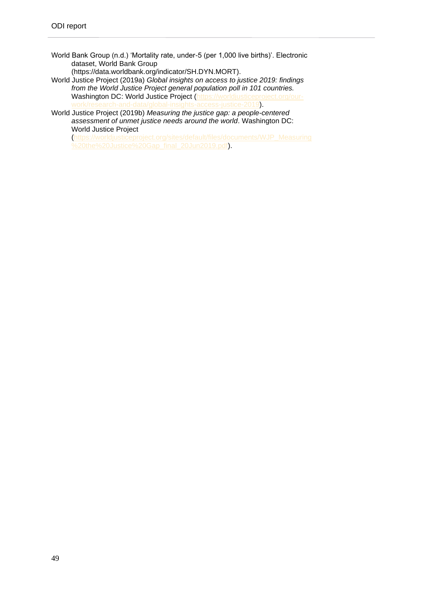World Bank Group (n.d.) 'Mortality rate, under-5 (per 1,000 live births)'. Electronic dataset, World Bank Group

(https://data.worldbank.org/indicator/SH.DYN.MORT).

World Justice Project (2019a) *Global insights on access to justice 2019: findings from the World Justice Project general population poll in 101 countries.*  Washington DC: World Justice Project [\(https://worldjusticeproject.org/our](https://worldjusticeproject.org/our-work/research-and-data/global-insights-access-justice-2019)access-justice-2019).

World Justice Project (2019b) *Measuring the justice gap: a people-centered assessment of unmet justice needs around the world*. Washington DC: World Justice Project

[\(https://worldjusticeproject.org/sites/default/files/documents/WJP\\_Measuring](https://worldjusticeproject.org/sites/default/files/documents/WJP_Measuring%20the%20Justice%20Gap_final_20Jun2019.pdf) [%20the%20Justice%20Gap\\_final\\_20Jun2019.pdf\)](https://worldjusticeproject.org/sites/default/files/documents/WJP_Measuring%20the%20Justice%20Gap_final_20Jun2019.pdf).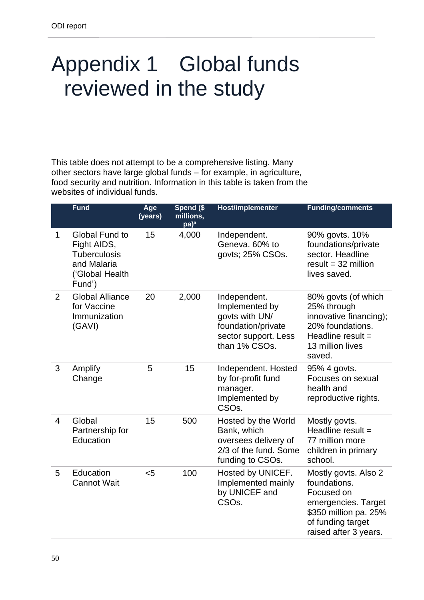## Appendix 1 Global funds reviewed in the study

This table does not attempt to be a comprehensive listing. Many other sectors have large global funds – for example, in agriculture, food security and nutrition. Information in this table is taken from the websites of individual funds.

|                | <b>Fund</b>                                                                                      | Age<br>(years) | Spend (\$<br>millions,<br>$pa)^a$ | <b>Host/implementer</b>                                                                                         | <b>Funding/comments</b>                                                                                                                          |
|----------------|--------------------------------------------------------------------------------------------------|----------------|-----------------------------------|-----------------------------------------------------------------------------------------------------------------|--------------------------------------------------------------------------------------------------------------------------------------------------|
| 1              | Global Fund to<br>Fight AIDS,<br><b>Tuberculosis</b><br>and Malaria<br>('Global Health<br>Fund') | 15             | 4,000                             | Independent.<br>Geneva. 60% to<br>govts; 25% CSOs.                                                              | 90% govts. 10%<br>foundations/private<br>sector. Headline<br>$result = 32$ million<br>lives saved.                                               |
| $\overline{2}$ | <b>Global Alliance</b><br>for Vaccine<br>Immunization<br>(GAVI)                                  | 20             | 2,000                             | Independent.<br>Implemented by<br>govts with UN/<br>foundation/private<br>sector support. Less<br>than 1% CSOs. | 80% govts (of which<br>25% through<br>innovative financing);<br>20% foundations.<br>Headline result $=$<br>13 million lives<br>saved.            |
| 3              | Amplify<br>Change                                                                                | 5              | 15                                | Independent. Hosted<br>by for-profit fund<br>manager.<br>Implemented by<br>CSO <sub>s</sub> .                   | 95% 4 govts.<br>Focuses on sexual<br>health and<br>reproductive rights.                                                                          |
| $\overline{4}$ | Global<br>Partnership for<br>Education                                                           | 15             | 500                               | Hosted by the World<br>Bank, which<br>oversees delivery of<br>2/3 of the fund. Some<br>funding to CSOs.         | Mostly govts.<br>Headline result $=$<br>77 million more<br>children in primary<br>school.                                                        |
| 5              | Education<br><b>Cannot Wait</b>                                                                  | $5$            | 100                               | Hosted by UNICEF.<br>Implemented mainly<br>by UNICEF and<br>CSO <sub>s.</sub>                                   | Mostly govts. Also 2<br>foundations.<br>Focused on<br>emergencies. Target<br>\$350 million pa. 25%<br>of funding target<br>raised after 3 years. |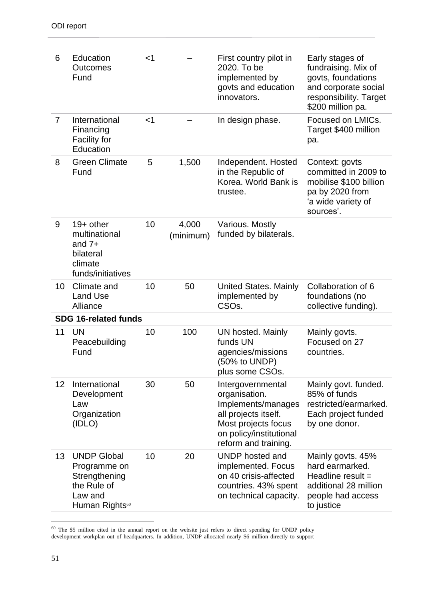| 6              | Education<br><b>Outcomes</b><br>Fund                                                                        | $<$ 1 |                    | First country pilot in<br>2020. To be<br>implemented by<br>govts and education<br>innovators.                                                              | Early stages of<br>fundraising. Mix of<br>govts, foundations<br>and corporate social<br>responsibility. Target<br>\$200 million pa. |
|----------------|-------------------------------------------------------------------------------------------------------------|-------|--------------------|------------------------------------------------------------------------------------------------------------------------------------------------------------|-------------------------------------------------------------------------------------------------------------------------------------|
| $\overline{7}$ | International<br>Financing<br>Facility for<br>Education                                                     | $<$ 1 |                    | In design phase.                                                                                                                                           | Focused on LMICs.<br>Target \$400 million<br>pa.                                                                                    |
| 8              | <b>Green Climate</b><br>Fund                                                                                | 5     | 1,500              | Independent. Hosted<br>in the Republic of<br>Korea. World Bank is<br>trustee.                                                                              | Context: govts<br>committed in 2009 to<br>mobilise \$100 billion<br>pa by 2020 from<br>'a wide variety of<br>sources'.              |
| 9              | $19+$ other<br>multinational<br>and $7+$<br>bilateral<br>climate<br>funds/initiatives                       | 10    | 4,000<br>(minimum) | Various. Mostly<br>funded by bilaterals.                                                                                                                   |                                                                                                                                     |
| 10             | Climate and<br><b>Land Use</b><br>Alliance                                                                  | 10    | 50                 | United States. Mainly<br>implemented by<br>CSO <sub>s.</sub>                                                                                               | Collaboration of 6<br>foundations (no<br>collective funding).                                                                       |
|                | <b>SDG 16-related funds</b>                                                                                 |       |                    |                                                                                                                                                            |                                                                                                                                     |
| 11             | <b>UN</b><br>Peacebuilding<br>Fund                                                                          | 10    | 100                | UN hosted. Mainly<br>funds UN<br>agencies/missions<br>(50% to UNDP)<br>plus some CSOs.                                                                     | Mainly govts.<br>Focused on 27<br>countries.                                                                                        |
| 12             | International<br>Development<br>Law<br>Organization<br>(IDLO)                                               | 30    | 50                 | Intergovernmental<br>organisation.<br>Implements/manages<br>all projects itself.<br>Most projects focus<br>on policy/institutional<br>reform and training. | Mainly govt. funded.<br>85% of funds<br>restricted/earmarked.<br>Each project funded<br>by one donor.                               |
| 13             | <b>UNDP Global</b><br>Programme on<br>Strengthening<br>the Rule of<br>Law and<br>Human Rights <sup>60</sup> | 10    | 20                 | <b>UNDP</b> hosted and<br>implemented. Focus<br>on 40 crisis-affected<br>countries. 43% spent<br>on technical capacity.                                    | Mainly govts. 45%<br>hard earmarked.<br>Headline result $=$<br>additional 28 million<br>people had access<br>to justice             |

 $60$  The \$5 million cited in the annual report on the website just refers to direct spending for UNDP policy development workplan out of headquarters. In addition, UNDP allocated nearly \$6 million directly to support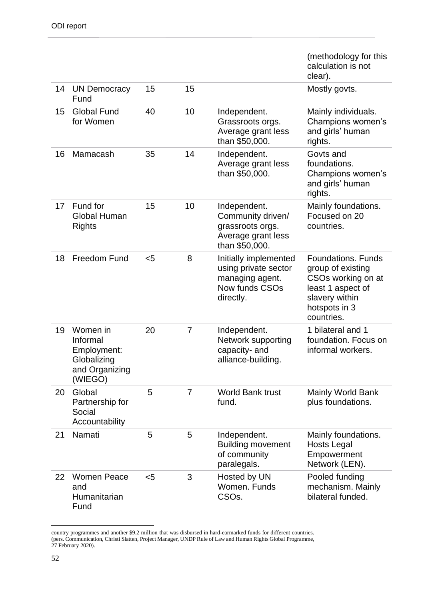|    |                                                                                 |       |                |                                                                                                 | (methodology for this<br>calculation is not<br>clear).                                                                                     |
|----|---------------------------------------------------------------------------------|-------|----------------|-------------------------------------------------------------------------------------------------|--------------------------------------------------------------------------------------------------------------------------------------------|
| 14 | <b>UN Democracy</b><br>Fund                                                     | 15    | 15             |                                                                                                 | Mostly govts.                                                                                                                              |
| 15 | <b>Global Fund</b><br>for Women                                                 | 40    | 10             | Independent.<br>Grassroots orgs.<br>Average grant less<br>than \$50,000.                        | Mainly individuals.<br>Champions women's<br>and girls' human<br>rights.                                                                    |
| 16 | Mamacash                                                                        | 35    | 14             | Independent.<br>Average grant less<br>than \$50,000.                                            | Govts and<br>foundations.<br>Champions women's<br>and girls' human<br>rights.                                                              |
| 17 | Fund for<br><b>Global Human</b><br>Rights                                       | 15    | 10             | Independent.<br>Community driven/<br>grassroots orgs.<br>Average grant less<br>than \$50,000.   | Mainly foundations.<br>Focused on 20<br>countries.                                                                                         |
| 18 | Freedom Fund                                                                    | $<$ 5 | 8              | Initially implemented<br>using private sector<br>managing agent.<br>Now funds CSOs<br>directly. | <b>Foundations. Funds</b><br>group of existing<br>CSOs working on at<br>least 1 aspect of<br>slavery within<br>hotspots in 3<br>countries. |
| 19 | Women in<br>Informal<br>Employment:<br>Globalizing<br>and Organizing<br>(WIEGO) | 20    | 7              | Independent.<br>Network supporting<br>capacity- and<br>alliance-building.                       | 1 bilateral and 1<br>foundation. Focus on<br>informal workers.                                                                             |
| 20 | Global<br>Partnership for<br>Social<br>Accountability                           | 5     | $\overline{7}$ | <b>World Bank trust</b><br>fund.                                                                | <b>Mainly World Bank</b><br>plus foundations.                                                                                              |
| 21 | Namati                                                                          | 5     | 5              | Independent.<br><b>Building movement</b><br>of community<br>paralegals.                         | Mainly foundations.<br><b>Hosts Legal</b><br>Empowerment<br>Network (LEN).                                                                 |
| 22 | <b>Women Peace</b><br>and<br>Humanitarian<br>Fund                               | $<$ 5 | 3              | Hosted by UN<br>Women. Funds<br>CSO <sub>s.</sub>                                               | Pooled funding<br>mechanism. Mainly<br>bilateral funded.                                                                                   |

country programmes and another \$9.2 million that was disbursed in hard-earmarked funds for different countries. (pers. Communication, Christi Slatten, Project Manager, UNDP Rule of Law and Human Rights Global Programme, 27 February 2020).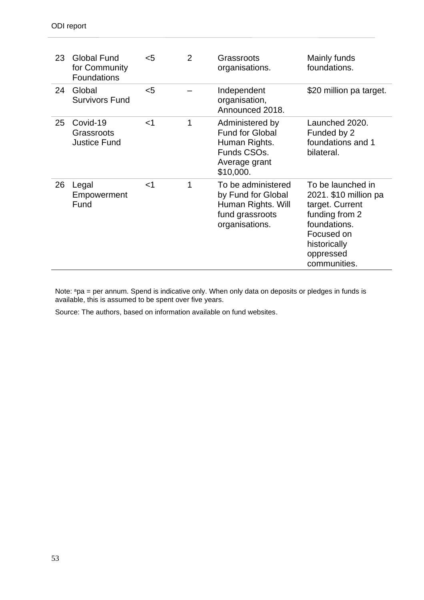| 23 | <b>Global Fund</b><br>for Community<br><b>Foundations</b> | $<$ 5 | $\overline{2}$ | Grassroots<br>organisations.                                                                            | Mainly funds<br>foundations.                                                                                                                               |
|----|-----------------------------------------------------------|-------|----------------|---------------------------------------------------------------------------------------------------------|------------------------------------------------------------------------------------------------------------------------------------------------------------|
| 24 | Global<br><b>Survivors Fund</b>                           | $5$   |                | Independent<br>organisation,<br>Announced 2018.                                                         | \$20 million pa target.                                                                                                                                    |
| 25 | Covid-19<br>Grassroots<br><b>Justice Fund</b>             | $<$ 1 | 1              | Administered by<br><b>Fund for Global</b><br>Human Rights.<br>Funds CSOs.<br>Average grant<br>\$10,000. | Launched 2020.<br>Funded by 2<br>foundations and 1<br>bilateral.                                                                                           |
| 26 | Legal<br>Empowerment<br>Fund                              | $<$ 1 | 1              | To be administered<br>by Fund for Global<br>Human Rights. Will<br>fund grassroots<br>organisations.     | To be launched in<br>2021. \$10 million pa<br>target. Current<br>funding from 2<br>foundations.<br>Focused on<br>historically<br>oppressed<br>communities. |

Note: <sup>a</sup>pa = per annum. Spend is indicative only. When only data on deposits or pledges in funds is available, this is assumed to be spent over five years.

Source: The authors, based on information available on fund websites.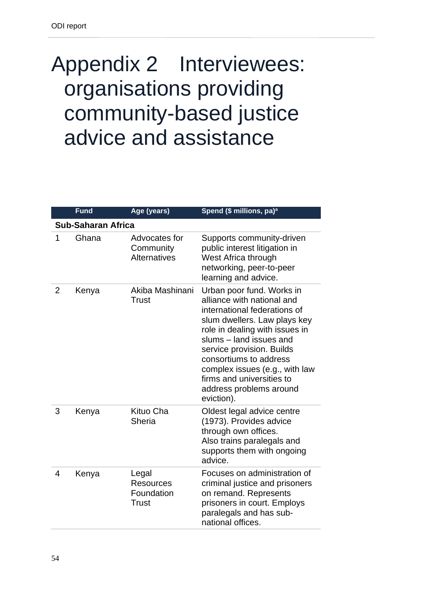## Appendix 2 Interviewees: organisations providing community-based justice advice and assistance

|   | <b>Fund</b>               | Age (years)                                      | Spend (\$ millions, pa) <sup>a</sup>                                                                                                                                                                                                                                                                                                                |  |  |  |  |
|---|---------------------------|--------------------------------------------------|-----------------------------------------------------------------------------------------------------------------------------------------------------------------------------------------------------------------------------------------------------------------------------------------------------------------------------------------------------|--|--|--|--|
|   | <b>Sub-Saharan Africa</b> |                                                  |                                                                                                                                                                                                                                                                                                                                                     |  |  |  |  |
| 1 | Ghana                     | Advocates for<br>Community<br>Alternatives       | Supports community-driven<br>public interest litigation in<br>West Africa through<br>networking, peer-to-peer<br>learning and advice.                                                                                                                                                                                                               |  |  |  |  |
| 2 | Kenya                     | Akiba Mashinani<br><b>Trust</b>                  | Urban poor fund. Works in<br>alliance with national and<br>international federations of<br>slum dwellers. Law plays key<br>role in dealing with issues in<br>slums - land issues and<br>service provision. Builds<br>consortiums to address<br>complex issues (e.g., with law<br>firms and universities to<br>address problems around<br>eviction). |  |  |  |  |
| 3 | Kenya                     | Kituo Cha<br><b>Sheria</b>                       | Oldest legal advice centre<br>(1973). Provides advice<br>through own offices.<br>Also trains paralegals and<br>supports them with ongoing<br>advice.                                                                                                                                                                                                |  |  |  |  |
| 4 | Kenya                     | Legal<br><b>Resources</b><br>Foundation<br>Trust | Focuses on administration of<br>criminal justice and prisoners<br>on remand. Represents<br>prisoners in court. Employs<br>paralegals and has sub-<br>national offices.                                                                                                                                                                              |  |  |  |  |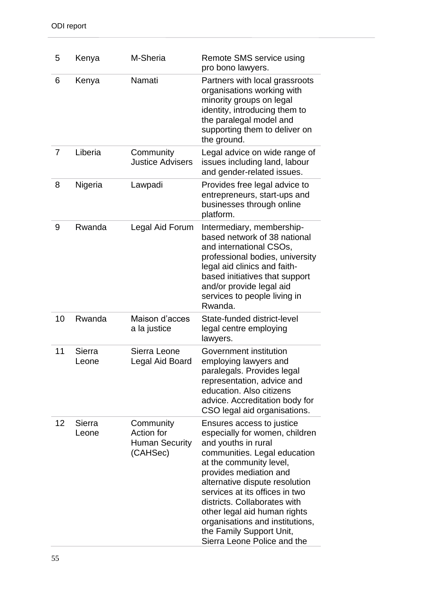| 5  | Kenya           | M-Sheria                                                     | Remote SMS service using<br>pro bono lawyers.                                                                                                                                                                                                                                                                                                                                                             |
|----|-----------------|--------------------------------------------------------------|-----------------------------------------------------------------------------------------------------------------------------------------------------------------------------------------------------------------------------------------------------------------------------------------------------------------------------------------------------------------------------------------------------------|
| 6  | Kenya           | Namati                                                       | Partners with local grassroots<br>organisations working with<br>minority groups on legal<br>identity, introducing them to<br>the paralegal model and<br>supporting them to deliver on<br>the ground.                                                                                                                                                                                                      |
| 7  | Liberia         | Community<br><b>Justice Advisers</b>                         | Legal advice on wide range of<br>issues including land, labour<br>and gender-related issues.                                                                                                                                                                                                                                                                                                              |
| 8  | Nigeria         | Lawpadi                                                      | Provides free legal advice to<br>entrepreneurs, start-ups and<br>businesses through online<br>platform.                                                                                                                                                                                                                                                                                                   |
| 9  | Rwanda          | Legal Aid Forum                                              | Intermediary, membership-<br>based network of 38 national<br>and international CSOs,<br>professional bodies, university<br>legal aid clinics and faith-<br>based initiatives that support<br>and/or provide legal aid<br>services to people living in<br>Rwanda.                                                                                                                                          |
| 10 | Rwanda          | Maison d'acces<br>a la justice                               | State-funded district-level<br>legal centre employing<br>lawyers.                                                                                                                                                                                                                                                                                                                                         |
| 11 | Sierra<br>Leone | Sierra Leone<br>Legal Aid Board                              | Government institution<br>employing lawyers and<br>paralegals. Provides legal<br>representation, advice and<br>education. Also citizens<br>advice. Accreditation body for<br>CSO legal aid organisations.                                                                                                                                                                                                 |
| 12 | Sierra<br>Leone | Community<br>Action for<br><b>Human Security</b><br>(CAHSec) | Ensures access to justice<br>especially for women, children<br>and youths in rural<br>communities. Legal education<br>at the community level,<br>provides mediation and<br>alternative dispute resolution<br>services at its offices in two<br>districts. Collaborates with<br>other legal aid human rights<br>organisations and institutions,<br>the Family Support Unit,<br>Sierra Leone Police and the |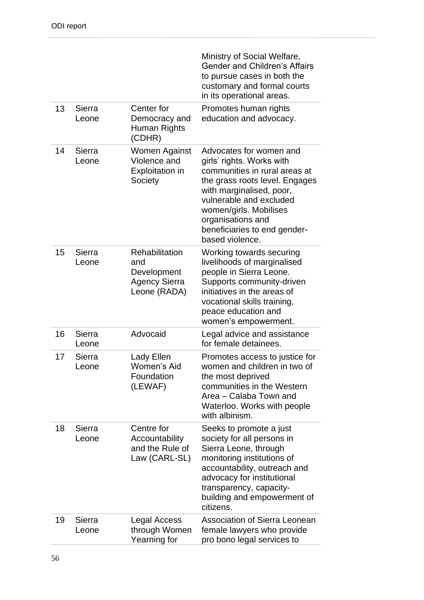|    |                        |                                                                              | Ministry of Social Welfare,<br><b>Gender and Children's Affairs</b><br>to pursue cases in both the<br>customary and formal courts<br>in its operational areas.                                                                                                                   |
|----|------------------------|------------------------------------------------------------------------------|----------------------------------------------------------------------------------------------------------------------------------------------------------------------------------------------------------------------------------------------------------------------------------|
| 13 | Sierra<br>Leone        | Center for<br>Democracy and<br>Human Rights<br>(CDHR)                        | Promotes human rights<br>education and advocacy.                                                                                                                                                                                                                                 |
| 14 | Sierra<br>Leone        | Women Against<br>Violence and<br><b>Exploitation in</b><br>Society           | Advocates for women and<br>girls' rights. Works with<br>communities in rural areas at<br>the grass roots level. Engages<br>with marginalised, poor,<br>vulnerable and excluded<br>women/girls. Mobilises<br>organisations and<br>beneficiaries to end gender-<br>based violence. |
| 15 | <b>Sierra</b><br>Leone | Rehabilitation<br>and<br>Development<br><b>Agency Sierra</b><br>Leone (RADA) | Working towards securing<br>livelihoods of marginalised<br>people in Sierra Leone.<br>Supports community-driven<br>initiatives in the areas of<br>vocational skills training,<br>peace education and<br>women's empowerment.                                                     |
| 16 | Sierra<br>Leone        | Advocaid                                                                     | Legal advice and assistance<br>for female detainees.                                                                                                                                                                                                                             |
| 17 | Sierra<br>Leone        | Lady Ellen<br>Women's Aid<br>Foundation<br>(LEWAF)                           | Promotes access to justice for<br>women and children in two of<br>the most deprived<br>communities in the Western<br>Area - Calaba Town and<br>Waterloo. Works with people<br>with albinism.                                                                                     |
| 18 | Sierra<br>Leone        | Centre for<br>Accountability<br>and the Rule of<br>Law (CARL-SL)             | Seeks to promote a just<br>society for all persons in<br>Sierra Leone, through<br>monitoring institutions of<br>accountability, outreach and<br>advocacy for institutional<br>transparency, capacity-<br>building and empowerment of<br>citizens.                                |
| 19 | Sierra<br>Leone        | Legal Access<br>through Women<br>Yearning for                                | <b>Association of Sierra Leonean</b><br>female lawyers who provide<br>pro bono legal services to                                                                                                                                                                                 |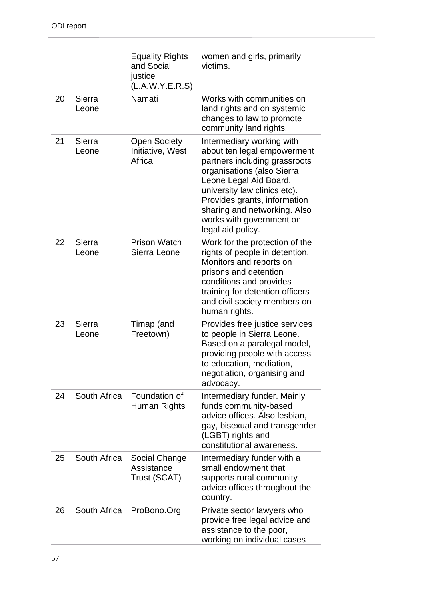|    |                 | <b>Equality Rights</b><br>and Social<br>justice<br>(L.A.W.Y.E.R.S) | women and girls, primarily<br>victims.                                                                                                                                                                                                                                                             |
|----|-----------------|--------------------------------------------------------------------|----------------------------------------------------------------------------------------------------------------------------------------------------------------------------------------------------------------------------------------------------------------------------------------------------|
| 20 | Sierra<br>Leone | Namati                                                             | Works with communities on<br>land rights and on systemic<br>changes to law to promote<br>community land rights.                                                                                                                                                                                    |
| 21 | Sierra<br>Leone | <b>Open Society</b><br>Initiative, West<br>Africa                  | Intermediary working with<br>about ten legal empowerment<br>partners including grassroots<br>organisations (also Sierra<br>Leone Legal Aid Board,<br>university law clinics etc).<br>Provides grants, information<br>sharing and networking. Also<br>works with government on<br>legal aid policy. |
| 22 | Sierra<br>Leone | <b>Prison Watch</b><br>Sierra Leone                                | Work for the protection of the<br>rights of people in detention.<br>Monitors and reports on<br>prisons and detention<br>conditions and provides<br>training for detention officers<br>and civil society members on<br>human rights.                                                                |
| 23 | Sierra<br>Leone | Timap (and<br>Freetown)                                            | Provides free justice services<br>to people in Sierra Leone.<br>Based on a paralegal model,<br>providing people with access<br>to education, mediation,<br>negotiation, organising and<br>advocacy.                                                                                                |
| 24 | South Africa    | Foundation of<br>Human Rights                                      | Intermediary funder. Mainly<br>funds community-based<br>advice offices. Also lesbian,<br>gay, bisexual and transgender<br>(LGBT) rights and<br>constitutional awareness.                                                                                                                           |
| 25 | South Africa    | Social Change<br>Assistance<br>Trust (SCAT)                        | Intermediary funder with a<br>small endowment that<br>supports rural community<br>advice offices throughout the<br>country.                                                                                                                                                                        |
| 26 | South Africa    | ProBono.Org                                                        | Private sector lawyers who<br>provide free legal advice and<br>assistance to the poor,<br>working on individual cases                                                                                                                                                                              |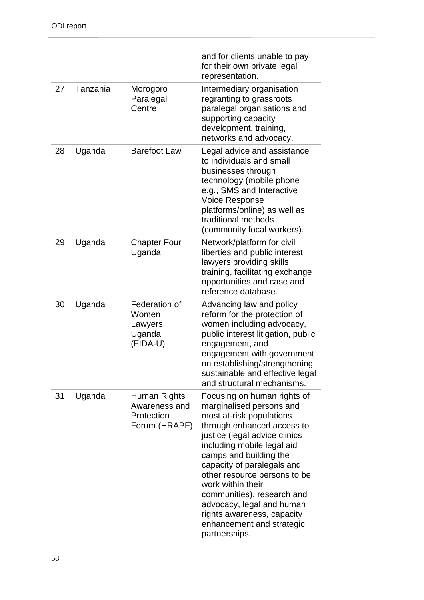|    |          |                                                              | and for clients unable to pay<br>for their own private legal<br>representation.                                                                                                                                                                                                                                                                                                                                                      |
|----|----------|--------------------------------------------------------------|--------------------------------------------------------------------------------------------------------------------------------------------------------------------------------------------------------------------------------------------------------------------------------------------------------------------------------------------------------------------------------------------------------------------------------------|
| 27 | Tanzania | Morogoro<br>Paralegal<br>Centre                              | Intermediary organisation<br>regranting to grassroots<br>paralegal organisations and<br>supporting capacity<br>development, training,<br>networks and advocacy.                                                                                                                                                                                                                                                                      |
| 28 | Uganda   | <b>Barefoot Law</b>                                          | Legal advice and assistance<br>to individuals and small<br>businesses through<br>technology (mobile phone<br>e.g., SMS and Interactive<br><b>Voice Response</b><br>platforms/online) as well as<br>traditional methods<br>(community focal workers).                                                                                                                                                                                 |
| 29 | Uganda   | <b>Chapter Four</b><br>Uganda                                | Network/platform for civil<br>liberties and public interest<br>lawyers providing skills<br>training, facilitating exchange<br>opportunities and case and<br>reference database.                                                                                                                                                                                                                                                      |
| 30 | Uganda   | Federation of<br>Women<br>Lawyers,<br>Uganda<br>(FIDA-U)     | Advancing law and policy<br>reform for the protection of<br>women including advocacy,<br>public interest litigation, public<br>engagement, and<br>engagement with government<br>on establishing/strengthening<br>sustainable and effective legal<br>and structural mechanisms.                                                                                                                                                       |
| 31 | Uganda   | Human Rights<br>Awareness and<br>Protection<br>Forum (HRAPF) | Focusing on human rights of<br>marginalised persons and<br>most at-risk populations<br>through enhanced access to<br>justice (legal advice clinics<br>including mobile legal aid<br>camps and building the<br>capacity of paralegals and<br>other resource persons to be<br>work within their<br>communities), research and<br>advocacy, legal and human<br>rights awareness, capacity<br>enhancement and strategic<br>partnerships. |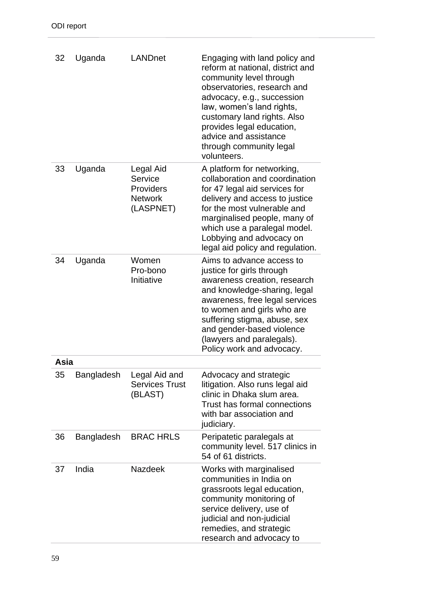| 32   | Uganda            | <b>LANDnet</b>                                                          | Engaging with land policy and<br>reform at national, district and<br>community level through<br>observatories, research and<br>advocacy, e.g., succession<br>law, women's land rights,<br>customary land rights. Also<br>provides legal education,<br>advice and assistance<br>through community legal<br>volunteers. |
|------|-------------------|-------------------------------------------------------------------------|-----------------------------------------------------------------------------------------------------------------------------------------------------------------------------------------------------------------------------------------------------------------------------------------------------------------------|
| 33   | Uganda            | Legal Aid<br>Service<br><b>Providers</b><br><b>Network</b><br>(LASPNET) | A platform for networking,<br>collaboration and coordination<br>for 47 legal aid services for<br>delivery and access to justice<br>for the most vulnerable and<br>marginalised people, many of<br>which use a paralegal model.<br>Lobbying and advocacy on<br>legal aid policy and regulation.                        |
| 34   | Uganda            | Women<br>Pro-bono<br>Initiative                                         | Aims to advance access to<br>justice for girls through<br>awareness creation, research<br>and knowledge-sharing, legal<br>awareness, free legal services<br>to women and girls who are<br>suffering stigma, abuse, sex<br>and gender-based violence<br>(lawyers and paralegals).<br>Policy work and advocacy.         |
| Asia |                   |                                                                         |                                                                                                                                                                                                                                                                                                                       |
| 35   | Bangladesh        | Legal Aid and<br><b>Services Trust</b><br>(BLAST)                       | Advocacy and strategic<br>litigation. Also runs legal aid<br>clinic in Dhaka slum area.<br><b>Trust has formal connections</b><br>with bar association and<br>judiciary.                                                                                                                                              |
| 36   | <b>Bangladesh</b> | <b>BRAC HRLS</b>                                                        | Peripatetic paralegals at<br>community level. 517 clinics in<br>54 of 61 districts.                                                                                                                                                                                                                                   |
| 37   | India             | Nazdeek                                                                 | Works with marginalised<br>communities in India on<br>grassroots legal education,<br>community monitoring of<br>service delivery, use of<br>judicial and non-judicial<br>remedies, and strategic<br>research and advocacy to                                                                                          |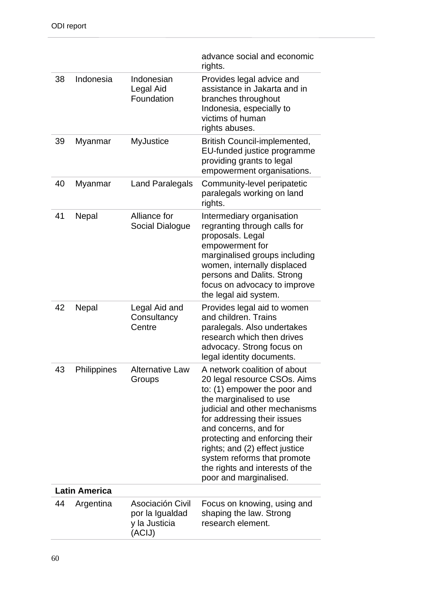|    |                      |                                                                | advance social and economic<br>rights.                                                                                                                                                                                                                                                                                                                                           |
|----|----------------------|----------------------------------------------------------------|----------------------------------------------------------------------------------------------------------------------------------------------------------------------------------------------------------------------------------------------------------------------------------------------------------------------------------------------------------------------------------|
| 38 | Indonesia            | Indonesian<br>Legal Aid<br>Foundation                          | Provides legal advice and<br>assistance in Jakarta and in<br>branches throughout<br>Indonesia, especially to<br>victims of human<br>rights abuses.                                                                                                                                                                                                                               |
| 39 | Myanmar              | <b>MyJustice</b>                                               | <b>British Council-implemented,</b><br>EU-funded justice programme<br>providing grants to legal<br>empowerment organisations.                                                                                                                                                                                                                                                    |
| 40 | Myanmar              | <b>Land Paralegals</b>                                         | Community-level peripatetic<br>paralegals working on land<br>rights.                                                                                                                                                                                                                                                                                                             |
| 41 | Nepal                | Alliance for<br>Social Dialogue                                | Intermediary organisation<br>regranting through calls for<br>proposals. Legal<br>empowerment for<br>marginalised groups including<br>women, internally displaced<br>persons and Dalits. Strong<br>focus on advocacy to improve<br>the legal aid system.                                                                                                                          |
| 42 | Nepal                | Legal Aid and<br>Consultancy<br>Centre                         | Provides legal aid to women<br>and children. Trains<br>paralegals. Also undertakes<br>research which then drives<br>advocacy. Strong focus on<br>legal identity documents.                                                                                                                                                                                                       |
| 43 | Philippines          | <b>Alternative Law</b><br>Groups                               | A network coalition of about<br>20 legal resource CSOs. Aims<br>to: (1) empower the poor and<br>the marginalised to use<br>judicial and other mechanisms<br>for addressing their issues<br>and concerns, and for<br>protecting and enforcing their<br>rights; and (2) effect justice<br>system reforms that promote<br>the rights and interests of the<br>poor and marginalised. |
|    | <b>Latin America</b> |                                                                |                                                                                                                                                                                                                                                                                                                                                                                  |
| 44 | Argentina            | Asociación Civil<br>por la Igualdad<br>y la Justicia<br>(ACIJ) | Focus on knowing, using and<br>shaping the law. Strong<br>research element.                                                                                                                                                                                                                                                                                                      |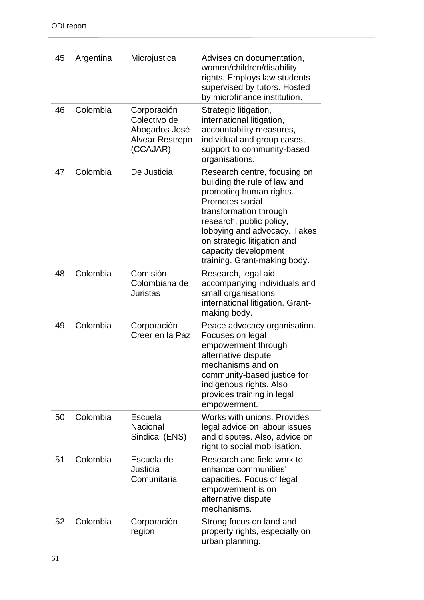| 45 | Argentina | Microjustica                                                                | Advises on documentation,<br>women/children/disability<br>rights. Employs law students<br>supervised by tutors. Hosted<br>by microfinance institution.                                                                                                                                  |
|----|-----------|-----------------------------------------------------------------------------|-----------------------------------------------------------------------------------------------------------------------------------------------------------------------------------------------------------------------------------------------------------------------------------------|
| 46 | Colombia  | Corporación<br>Colectivo de<br>Abogados José<br>Alvear Restrepo<br>(CCAJAR) | Strategic litigation,<br>international litigation,<br>accountability measures,<br>individual and group cases,<br>support to community-based<br>organisations.                                                                                                                           |
| 47 | Colombia  | De Justicia                                                                 | Research centre, focusing on<br>building the rule of law and<br>promoting human rights.<br>Promotes social<br>transformation through<br>research, public policy,<br>lobbying and advocacy. Takes<br>on strategic litigation and<br>capacity development<br>training. Grant-making body. |
| 48 | Colombia  | Comisión<br>Colombiana de<br><b>Juristas</b>                                | Research, legal aid,<br>accompanying individuals and<br>small organisations,<br>international litigation. Grant-<br>making body.                                                                                                                                                        |
| 49 | Colombia  | Corporación<br>Creer en la Paz                                              | Peace advocacy organisation.<br>Focuses on legal<br>empowerment through<br>alternative dispute<br>mechanisms and on<br>community-based justice for<br>indigenous rights. Also<br>provides training in legal<br>empowerment.                                                             |
| 50 | Colombia  | Escuela<br>Nacional<br>Sindical (ENS)                                       | Works with unions. Provides<br>legal advice on labour issues<br>and disputes. Also, advice on<br>right to social mobilisation.                                                                                                                                                          |
| 51 | Colombia  | Escuela de<br>Justicia<br>Comunitaria                                       | Research and field work to<br>enhance communities'<br>capacities. Focus of legal<br>empowerment is on<br>alternative dispute<br>mechanisms.                                                                                                                                             |
| 52 | Colombia  | Corporación<br>region                                                       | Strong focus on land and<br>property rights, especially on<br>urban planning.                                                                                                                                                                                                           |